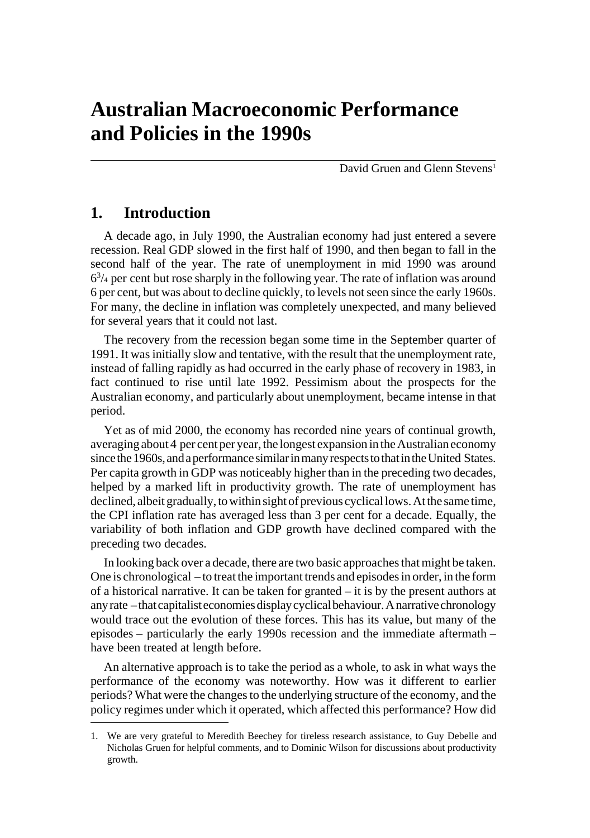David Gruen and Glenn Stevens<sup>1</sup>

# **1. Introduction**

A decade ago, in July 1990, the Australian economy had just entered a severe recession. Real GDP slowed in the first half of 1990, and then began to fall in the second half of the year. The rate of unemployment in mid 1990 was around  $6<sup>3</sup>/4$  per cent but rose sharply in the following year. The rate of inflation was around 6 per cent, but was about to decline quickly, to levels not seen since the early 1960s. For many, the decline in inflation was completely unexpected, and many believed for several years that it could not last.

The recovery from the recession began some time in the September quarter of 1991. It was initially slow and tentative, with the result that the unemployment rate, instead of falling rapidly as had occurred in the early phase of recovery in 1983, in fact continued to rise until late 1992. Pessimism about the prospects for the Australian economy, and particularly about unemployment, became intense in that period.

Yet as of mid 2000, the economy has recorded nine years of continual growth, averaging about 4 per cent per year, the longest expansion in the Australian economy since the 1960s, and a performance similar in many respects to that in the United States. Per capita growth in GDP was noticeably higher than in the preceding two decades, helped by a marked lift in productivity growth. The rate of unemployment has declined, albeit gradually, to within sight of previous cyclical lows. At the same time, the CPI inflation rate has averaged less than 3 per cent for a decade. Equally, the variability of both inflation and GDP growth have declined compared with the preceding two decades.

In looking back over a decade, there are two basic approaches that might be taken. One is chronological – to treat the important trends and episodes in order, in the form of a historical narrative. It can be taken for granted – it is by the present authors at any rate – that capitalist economies display cyclical behaviour. A narrative chronology would trace out the evolution of these forces. This has its value, but many of the episodes – particularly the early 1990s recession and the immediate aftermath – have been treated at length before.

An alternative approach is to take the period as a whole, to ask in what ways the performance of the economy was noteworthy. How was it different to earlier periods? What were the changes to the underlying structure of the economy, and the policy regimes under which it operated, which affected this performance? How did

<sup>1.</sup> We are very grateful to Meredith Beechey for tireless research assistance, to Guy Debelle and Nicholas Gruen for helpful comments, and to Dominic Wilson for discussions about productivity growth.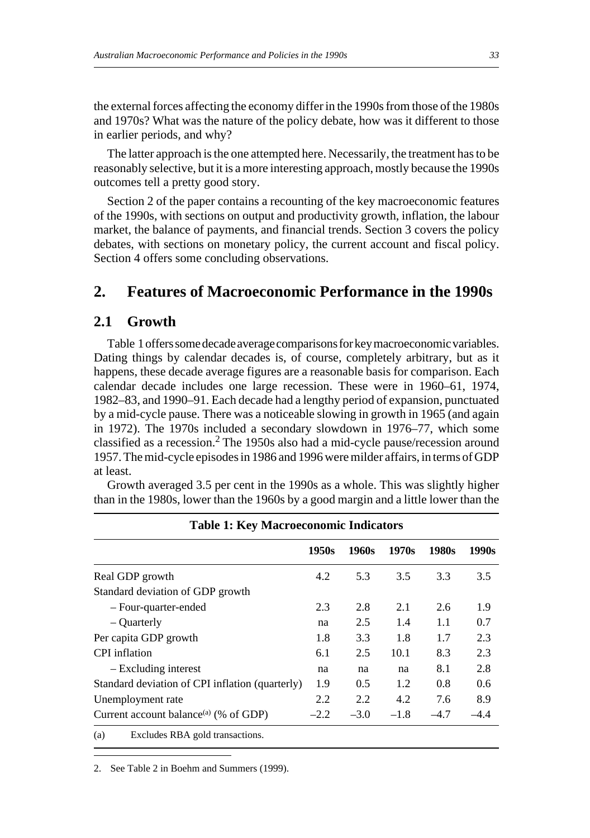the external forces affecting the economy differ in the 1990s from those of the 1980s and 1970s? What was the nature of the policy debate, how was it different to those in earlier periods, and why?

The latter approach is the one attempted here. Necessarily, the treatment has to be reasonably selective, but it is a more interesting approach, mostly because the 1990s outcomes tell a pretty good story.

Section 2 of the paper contains a recounting of the key macroeconomic features of the 1990s, with sections on output and productivity growth, inflation, the labour market, the balance of payments, and financial trends. Section 3 covers the policy debates, with sections on monetary policy, the current account and fiscal policy. Section 4 offers some concluding observations.

# **2. Features of Macroeconomic Performance in the 1990s**

## **2.1 Growth**

Table 1 offers some decade average comparisons for key macroeconomic variables. Dating things by calendar decades is, of course, completely arbitrary, but as it happens, these decade average figures are a reasonable basis for comparison. Each calendar decade includes one large recession. These were in 1960–61, 1974, 1982–83, and 1990–91. Each decade had a lengthy period of expansion, punctuated by a mid-cycle pause. There was a noticeable slowing in growth in 1965 (and again in 1972). The 1970s included a secondary slowdown in 1976–77, which some classified as a recession. $2$  The 1950s also had a mid-cycle pause/recession around 1957. The mid-cycle episodes in 1986 and 1996 were milder affairs, in terms of GDP at least.

Growth averaged 3.5 per cent in the 1990s as a whole. This was slightly higher than in the 1980s, lower than the 1960s by a good margin and a little lower than the

|                                                   | <b>Table 1: Key Macroeconomic Indicators</b> |        |        |        |        |
|---------------------------------------------------|----------------------------------------------|--------|--------|--------|--------|
|                                                   | 1950s                                        | 1960s  | 1970s  | 1980s  | 1990s  |
| Real GDP growth                                   | 4.2                                          | 5.3    | 3.5    | 3.3    | 3.5    |
| Standard deviation of GDP growth                  |                                              |        |        |        |        |
| - Four-quarter-ended                              | 2.3                                          | 2.8    | 2.1    | 2.6    | 1.9    |
| – Quarterly                                       | na                                           | 2.5    | 1.4    | 1.1    | 0.7    |
| Per capita GDP growth                             | 1.8                                          | 3.3    | 1.8    | 1.7    | 2.3    |
| CPI inflation                                     | 6.1                                          | 2.5    | 10.1   | 8.3    | 2.3    |
| - Excluding interest                              | na                                           | na     | na     | 8.1    | 2.8    |
| Standard deviation of CPI inflation (quarterly)   | 1.9                                          | 0.5    | 1.2    | 0.8    | 0.6    |
| Unemployment rate                                 | 2.2                                          | 2.2    | 4.2    | 7.6    | 8.9    |
| Current account balance <sup>(a)</sup> (% of GDP) | $-2.2$                                       | $-3.0$ | $-1.8$ | $-4.7$ | $-4.4$ |
| Excludes RBA gold transactions.<br>(a)            |                                              |        |        |        |        |

2. See Table 2 in Boehm and Summers (1999).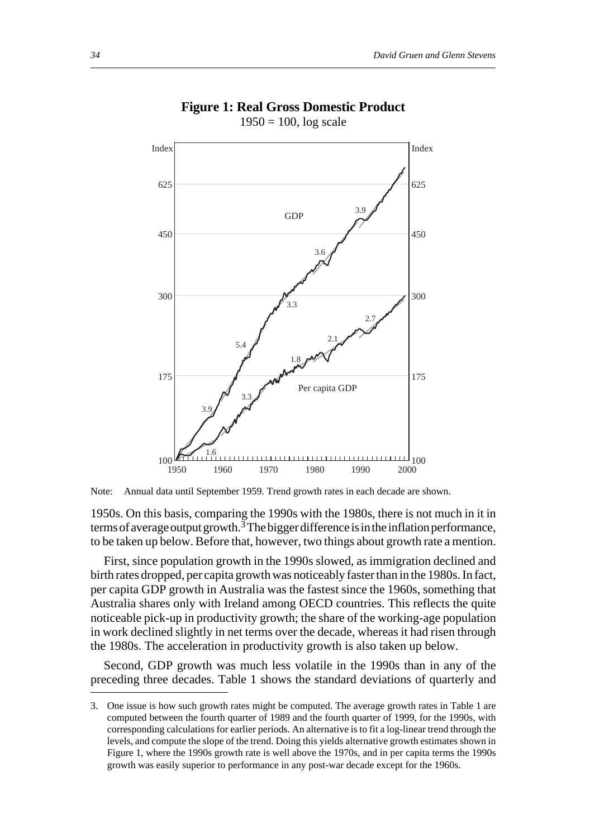

#### **Figure 1: Real Gross Domestic Product**  $1950 = 100$ ,  $\log$  scale

Note: Annual data until September 1959. Trend growth rates in each decade are shown.

1950s. On this basis, comparing the 1990s with the 1980s, there is not much in it in terms of average output growth.<sup>3</sup> The bigger difference is in the inflation performance, to be taken up below. Before that, however, two things about growth rate a mention.

First, since population growth in the 1990s slowed, as immigration declined and birth rates dropped, per capita growth was noticeably faster than in the 1980s. In fact, per capita GDP growth in Australia was the fastest since the 1960s, something that Australia shares only with Ireland among OECD countries. This reflects the quite noticeable pick-up in productivity growth; the share of the working-age population in work declined slightly in net terms over the decade, whereas it had risen through the 1980s. The acceleration in productivity growth is also taken up below.

Second, GDP growth was much less volatile in the 1990s than in any of the preceding three decades. Table 1 shows the standard deviations of quarterly and

<sup>3.</sup> One issue is how such growth rates might be computed. The average growth rates in Table 1 are computed between the fourth quarter of 1989 and the fourth quarter of 1999, for the 1990s, with corresponding calculations for earlier periods. An alternative is to fit a log-linear trend through the levels, and compute the slope of the trend. Doing this yields alternative growth estimates shown in Figure 1, where the 1990s growth rate is well above the 1970s, and in per capita terms the 1990s growth was easily superior to performance in any post-war decade except for the 1960s.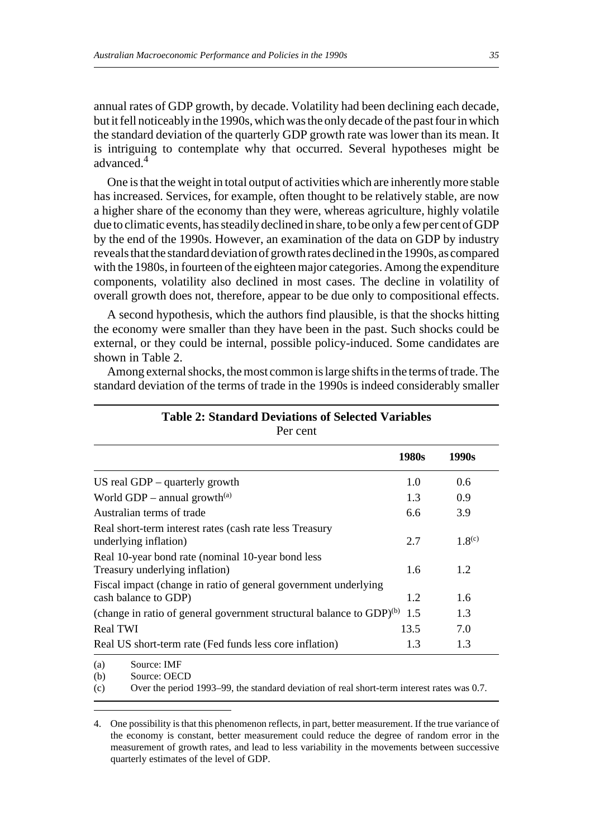annual rates of GDP growth, by decade. Volatility had been declining each decade, but it fell noticeably in the 1990s, which was the only decade of the past four in which the standard deviation of the quarterly GDP growth rate was lower than its mean. It is intriguing to contemplate why that occurred. Several hypotheses might be advanced.4

One is that the weight in total output of activities which are inherently more stable has increased. Services, for example, often thought to be relatively stable, are now a higher share of the economy than they were, whereas agriculture, highly volatile due to climatic events, has steadily declined in share, to be only a few per cent of GDP by the end of the 1990s. However, an examination of the data on GDP by industry reveals that the standard deviation of growth rates declined in the 1990s, as compared with the 1980s, in fourteen of the eighteen major categories. Among the expenditure components, volatility also declined in most cases. The decline in volatility of overall growth does not, therefore, appear to be due only to compositional effects.

A second hypothesis, which the authors find plausible, is that the shocks hitting the economy were smaller than they have been in the past. Such shocks could be external, or they could be internal, possible policy-induced. Some candidates are shown in Table 2.

Among external shocks, the most common is large shifts in the terms of trade. The standard deviation of the terms of trade in the 1990s is indeed considerably smaller

|                                                                                         | 1980s | 1990s       |
|-----------------------------------------------------------------------------------------|-------|-------------|
| US real GDP $-$ quarterly growth                                                        | 1.0   | 0.6         |
| World GDP – annual growth <sup>(a)</sup>                                                | 1.3   | 0.9         |
| Australian terms of trade                                                               | 6.6   | 3.9         |
| Real short-term interest rates (cash rate less Treasury<br>underlying inflation)        | 2.7   | $1.8^{(c)}$ |
| Real 10-year bond rate (nominal 10-year bond less<br>Treasury underlying inflation)     | 1.6   | 1.2         |
| Fiscal impact (change in ratio of general government underlying<br>cash balance to GDP) | 1.2   | 1.6         |
| (change in ratio of general government structural balance to $GDP$ ) <sup>(b)</sup>     | 1.5   | 1.3         |
| <b>Real TWI</b>                                                                         | 13.5  | 7.0         |
| Real US short-term rate (Fed funds less core inflation)                                 | 1.3   | 1.3         |

#### **Table 2: Standard Deviations of Selected Variables** Per cent

(a) Source: IMF

(b) Source: OECD

(c) Over the period 1993–99, the standard deviation of real short-term interest rates was 0.7.

<sup>4.</sup> One possibility is that this phenomenon reflects, in part, better measurement. If the true variance of the economy is constant, better measurement could reduce the degree of random error in the measurement of growth rates, and lead to less variability in the movements between successive quarterly estimates of the level of GDP.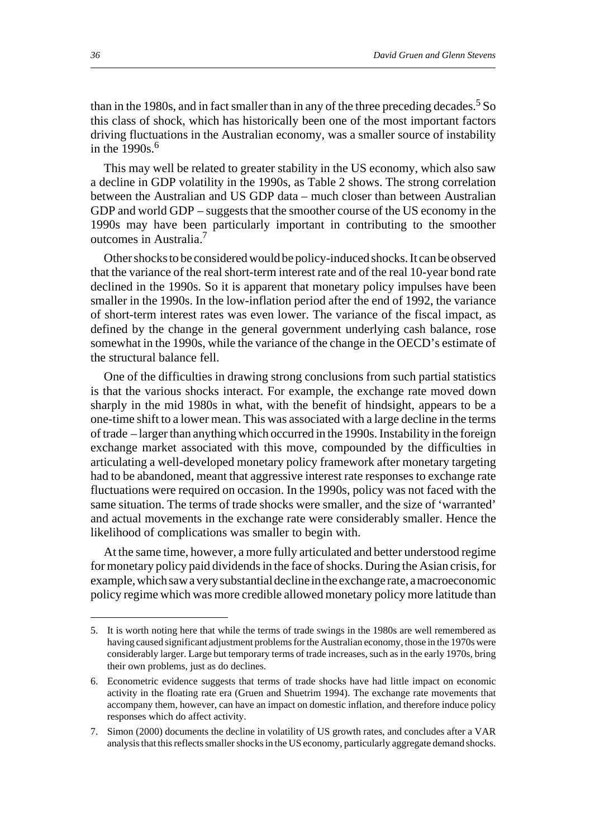than in the 1980s, and in fact smaller than in any of the three preceding decades.<sup>5</sup> So this class of shock, which has historically been one of the most important factors driving fluctuations in the Australian economy, was a smaller source of instability in the  $1990s$ .<sup>6</sup>

This may well be related to greater stability in the US economy, which also saw a decline in GDP volatility in the 1990s, as Table 2 shows. The strong correlation between the Australian and US GDP data – much closer than between Australian GDP and world GDP – suggests that the smoother course of the US economy in the 1990s may have been particularly important in contributing to the smoother outcomes in Australia.7

Other shocks to be considered would be policy-induced shocks. It can be observed that the variance of the real short-term interest rate and of the real 10-year bond rate declined in the 1990s. So it is apparent that monetary policy impulses have been smaller in the 1990s. In the low-inflation period after the end of 1992, the variance of short-term interest rates was even lower. The variance of the fiscal impact, as defined by the change in the general government underlying cash balance, rose somewhat in the 1990s, while the variance of the change in the OECD's estimate of the structural balance fell.

One of the difficulties in drawing strong conclusions from such partial statistics is that the various shocks interact. For example, the exchange rate moved down sharply in the mid 1980s in what, with the benefit of hindsight, appears to be a one-time shift to a lower mean. This was associated with a large decline in the terms of trade – larger than anything which occurred in the 1990s. Instability in the foreign exchange market associated with this move, compounded by the difficulties in articulating a well-developed monetary policy framework after monetary targeting had to be abandoned, meant that aggressive interest rate responses to exchange rate fluctuations were required on occasion. In the 1990s, policy was not faced with the same situation. The terms of trade shocks were smaller, and the size of 'warranted' and actual movements in the exchange rate were considerably smaller. Hence the likelihood of complications was smaller to begin with.

At the same time, however, a more fully articulated and better understood regime for monetary policy paid dividends in the face of shocks. During the Asian crisis, for example, which saw a very substantial decline in the exchange rate, a macroeconomic policy regime which was more credible allowed monetary policy more latitude than

<sup>5.</sup> It is worth noting here that while the terms of trade swings in the 1980s are well remembered as having caused significant adjustment problems for the Australian economy, those in the 1970s were considerably larger. Large but temporary terms of trade increases, such as in the early 1970s, bring their own problems, just as do declines.

<sup>6.</sup> Econometric evidence suggests that terms of trade shocks have had little impact on economic activity in the floating rate era (Gruen and Shuetrim 1994). The exchange rate movements that accompany them, however, can have an impact on domestic inflation, and therefore induce policy responses which do affect activity.

<sup>7.</sup> Simon (2000) documents the decline in volatility of US growth rates, and concludes after a VAR analysis that this reflects smaller shocks in the US economy, particularly aggregate demand shocks.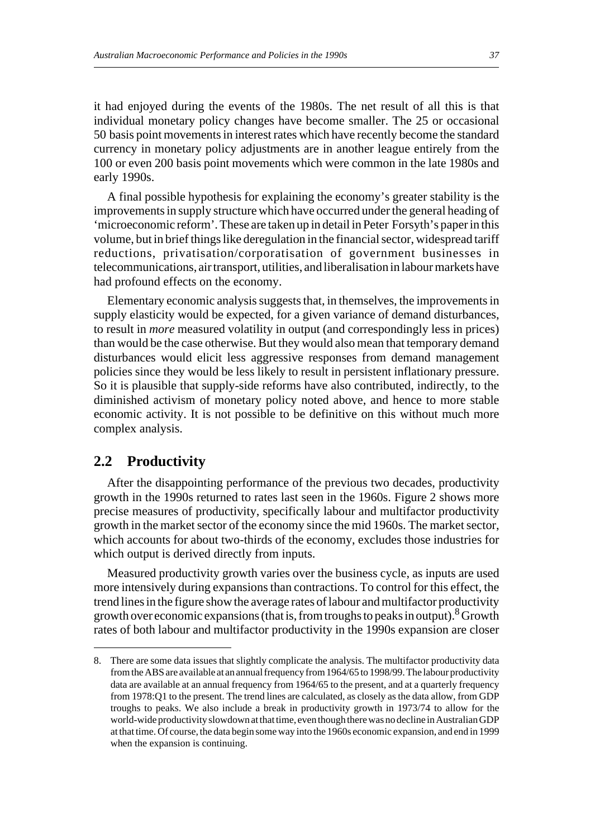it had enjoyed during the events of the 1980s. The net result of all this is that individual monetary policy changes have become smaller. The 25 or occasional 50 basis point movements in interest rates which have recently become the standard currency in monetary policy adjustments are in another league entirely from the 100 or even 200 basis point movements which were common in the late 1980s and early 1990s.

A final possible hypothesis for explaining the economy's greater stability is the improvements in supply structure which have occurred under the general heading of 'microeconomic reform'. These are taken up in detail in Peter Forsyth's paper in this volume, but in brief things like deregulation in the financial sector, widespread tariff reductions, privatisation/corporatisation of government businesses in telecommunications, air transport, utilities, and liberalisation in labour markets have had profound effects on the economy.

Elementary economic analysis suggests that, in themselves, the improvements in supply elasticity would be expected, for a given variance of demand disturbances, to result in *more* measured volatility in output (and correspondingly less in prices) than would be the case otherwise. But they would also mean that temporary demand disturbances would elicit less aggressive responses from demand management policies since they would be less likely to result in persistent inflationary pressure. So it is plausible that supply-side reforms have also contributed, indirectly, to the diminished activism of monetary policy noted above, and hence to more stable economic activity. It is not possible to be definitive on this without much more complex analysis.

## **2.2 Productivity**

After the disappointing performance of the previous two decades, productivity growth in the 1990s returned to rates last seen in the 1960s. Figure 2 shows more precise measures of productivity, specifically labour and multifactor productivity growth in the market sector of the economy since the mid 1960s. The market sector, which accounts for about two-thirds of the economy, excludes those industries for which output is derived directly from inputs.

Measured productivity growth varies over the business cycle, as inputs are used more intensively during expansions than contractions. To control for this effect, the trend lines in the figure show the average rates of labour and multifactor productivity growth over economic expansions (that is, from troughs to peaks in output). <sup>8</sup> Growth rates of both labour and multifactor productivity in the 1990s expansion are closer

<sup>8.</sup> There are some data issues that slightly complicate the analysis. The multifactor productivity data from the ABS are available at an annual frequency from 1964/65 to 1998/99. The labour productivity data are available at an annual frequency from 1964/65 to the present, and at a quarterly frequency from 1978:Q1 to the present. The trend lines are calculated, as closely as the data allow, from GDP troughs to peaks. We also include a break in productivity growth in 1973/74 to allow for the world-wide productivity slowdown at that time, even though there was no decline in Australian GDP at that time. Of course, the data begin some way into the 1960s economic expansion, and end in 1999 when the expansion is continuing.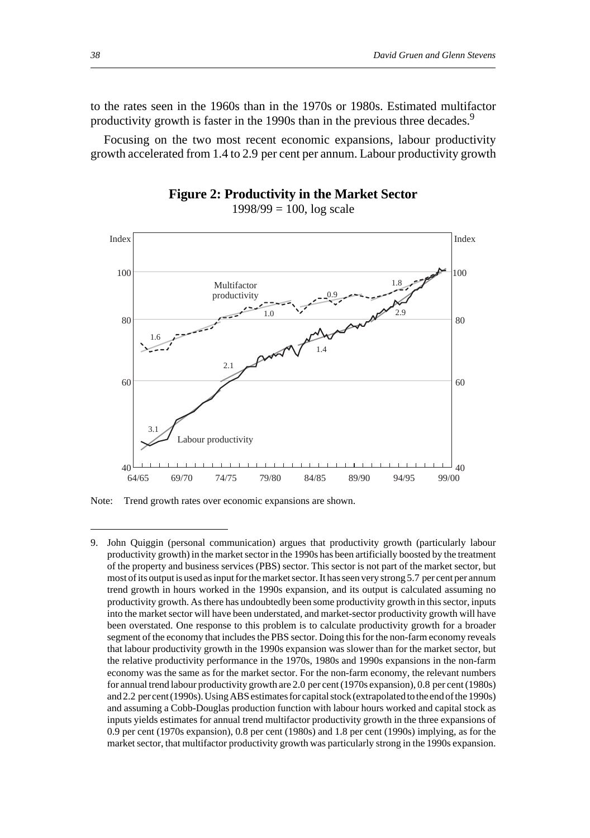to the rates seen in the 1960s than in the 1970s or 1980s. Estimated multifactor productivity growth is faster in the 1990s than in the previous three decades.<sup>9</sup>

Focusing on the two most recent economic expansions, labour productivity growth accelerated from 1.4 to 2.9 per cent per annum. Labour productivity growth



 $1998/99 = 100$ ,  $log scale$ 



Note: Trend growth rates over economic expansions are shown.

<sup>9.</sup> John Quiggin (personal communication) argues that productivity growth (particularly labour productivity growth) in the market sector in the 1990s has been artificially boosted by the treatment of the property and business services (PBS) sector. This sector is not part of the market sector, but most of its output is used as input for the market sector. It has seen very strong 5.7 per cent per annum trend growth in hours worked in the 1990s expansion, and its output is calculated assuming no productivity growth. As there has undoubtedly been some productivity growth in this sector, inputs into the market sector will have been understated, and market-sector productivity growth will have been overstated. One response to this problem is to calculate productivity growth for a broader segment of the economy that includes the PBS sector. Doing this for the non-farm economy reveals that labour productivity growth in the 1990s expansion was slower than for the market sector, but the relative productivity performance in the 1970s, 1980s and 1990s expansions in the non-farm economy was the same as for the market sector. For the non-farm economy, the relevant numbers for annual trend labour productivity growth are 2.0 per cent (1970s expansion), 0.8 per cent (1980s) and 2.2 per cent (1990s). Using ABS estimates for capital stock (extrapolated to the end of the 1990s) and assuming a Cobb-Douglas production function with labour hours worked and capital stock as inputs yields estimates for annual trend multifactor productivity growth in the three expansions of 0.9 per cent (1970s expansion), 0.8 per cent (1980s) and 1.8 per cent (1990s) implying, as for the market sector, that multifactor productivity growth was particularly strong in the 1990s expansion.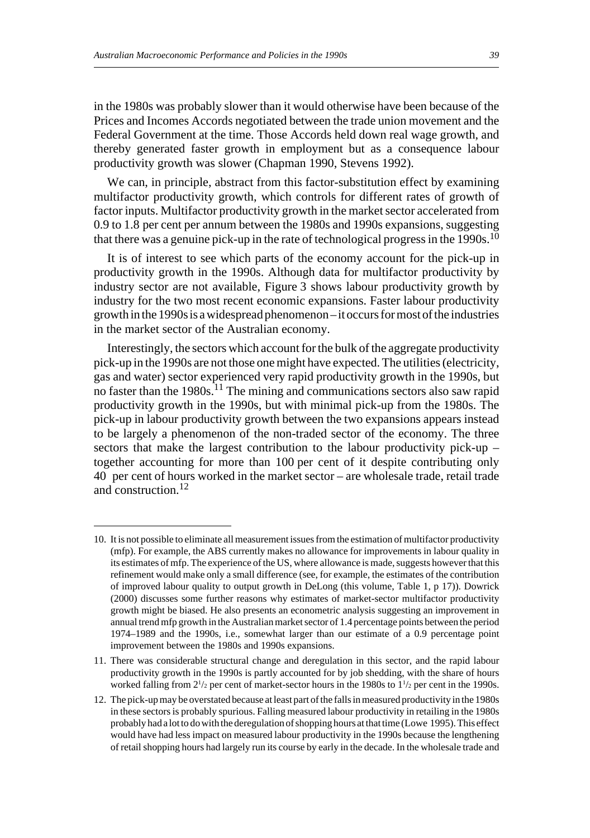in the 1980s was probably slower than it would otherwise have been because of the Prices and Incomes Accords negotiated between the trade union movement and the Federal Government at the time. Those Accords held down real wage growth, and thereby generated faster growth in employment but as a consequence labour productivity growth was slower (Chapman 1990, Stevens 1992).

We can, in principle, abstract from this factor-substitution effect by examining multifactor productivity growth, which controls for different rates of growth of factor inputs. Multifactor productivity growth in the market sector accelerated from 0.9 to 1.8 per cent per annum between the 1980s and 1990s expansions, suggesting that there was a genuine pick-up in the rate of technological progress in the 1990s.<sup>10</sup>

It is of interest to see which parts of the economy account for the pick-up in productivity growth in the 1990s. Although data for multifactor productivity by industry sector are not available, Figure 3 shows labour productivity growth by industry for the two most recent economic expansions. Faster labour productivity growth in the 1990s is a widespread phenomenon – it occurs for most of the industries in the market sector of the Australian economy.

Interestingly, the sectors which account for the bulk of the aggregate productivity pick-up in the 1990s are not those one might have expected. The utilities (electricity, gas and water) sector experienced very rapid productivity growth in the 1990s, but no faster than the  $1980s$ <sup>11</sup>. The mining and communications sectors also saw rapid productivity growth in the 1990s, but with minimal pick-up from the 1980s. The pick-up in labour productivity growth between the two expansions appears instead to be largely a phenomenon of the non-traded sector of the economy. The three sectors that make the largest contribution to the labour productivity pick-up – together accounting for more than 100 per cent of it despite contributing only 40 per cent of hours worked in the market sector – are wholesale trade, retail trade and construction.<sup>12</sup>

<sup>10.</sup> It is not possible to eliminate all measurement issues from the estimation of multifactor productivity (mfp). For example, the ABS currently makes no allowance for improvements in labour quality in its estimates of mfp. The experience of the US, where allowance is made, suggests however that this refinement would make only a small difference (see, for example, the estimates of the contribution of improved labour quality to output growth in DeLong (this volume, Table 1, p 17)). Dowrick (2000) discusses some further reasons why estimates of market-sector multifactor productivity growth might be biased. He also presents an econometric analysis suggesting an improvement in annual trend mfp growth in the Australian market sector of 1.4 percentage points between the period 1974–1989 and the 1990s, i.e., somewhat larger than our estimate of a 0.9 percentage point improvement between the 1980s and 1990s expansions.

<sup>11.</sup> There was considerable structural change and deregulation in this sector, and the rapid labour productivity growth in the 1990s is partly accounted for by job shedding, with the share of hours worked falling from  $2^{1/2}$  per cent of market-sector hours in the 1980s to  $1^{1/2}$  per cent in the 1990s.

<sup>12.</sup> The pick-up may be overstated because at least part of the falls in measured productivity in the 1980s in these sectors is probably spurious. Falling measured labour productivity in retailing in the 1980s probably had a lot to do with the deregulation of shopping hours at that time (Lowe 1995). This effect would have had less impact on measured labour productivity in the 1990s because the lengthening of retail shopping hours had largely run its course by early in the decade. In the wholesale trade and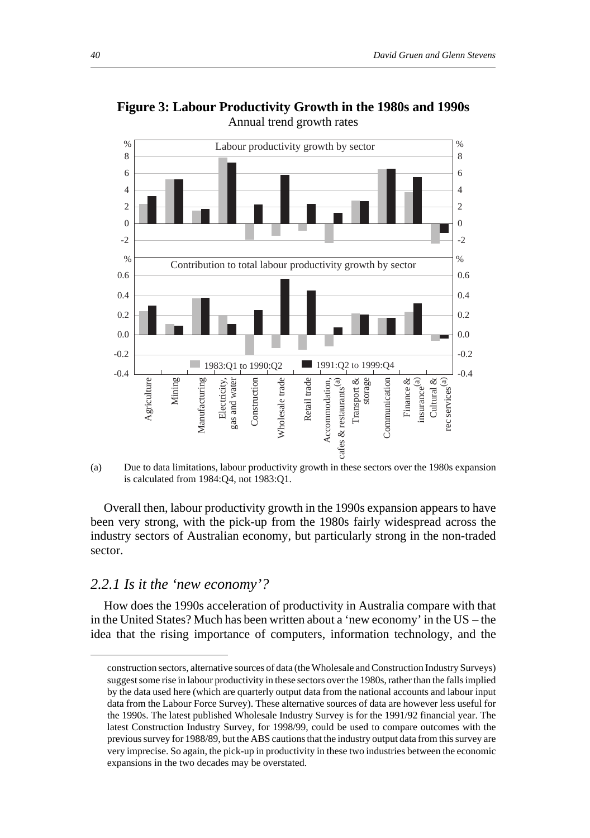

**Figure 3: Labour Productivity Growth in the 1980s and 1990s** Annual trend growth rates

(a) Due to data limitations, labour productivity growth in these sectors over the 1980s expansion is calculated from 1984:Q4, not 1983:Q1.

Overall then, labour productivity growth in the 1990s expansion appears to have been very strong, with the pick-up from the 1980s fairly widespread across the industry sectors of Australian economy, but particularly strong in the non-traded sector.

#### *2.2.1 Is it the 'new economy'?*

How does the 1990s acceleration of productivity in Australia compare with that in the United States? Much has been written about a 'new economy' in the US – the idea that the rising importance of computers, information technology, and the

construction sectors, alternative sources of data (the Wholesale and Construction Industry Surveys) suggest some rise in labour productivity in these sectors over the 1980s, rather than the falls implied by the data used here (which are quarterly output data from the national accounts and labour input data from the Labour Force Survey). These alternative sources of data are however less useful for the 1990s. The latest published Wholesale Industry Survey is for the 1991/92 financial year. The latest Construction Industry Survey, for 1998/99, could be used to compare outcomes with the previous survey for 1988/89, but the ABS cautions that the industry output data from this survey are very imprecise. So again, the pick-up in productivity in these two industries between the economic expansions in the two decades may be overstated.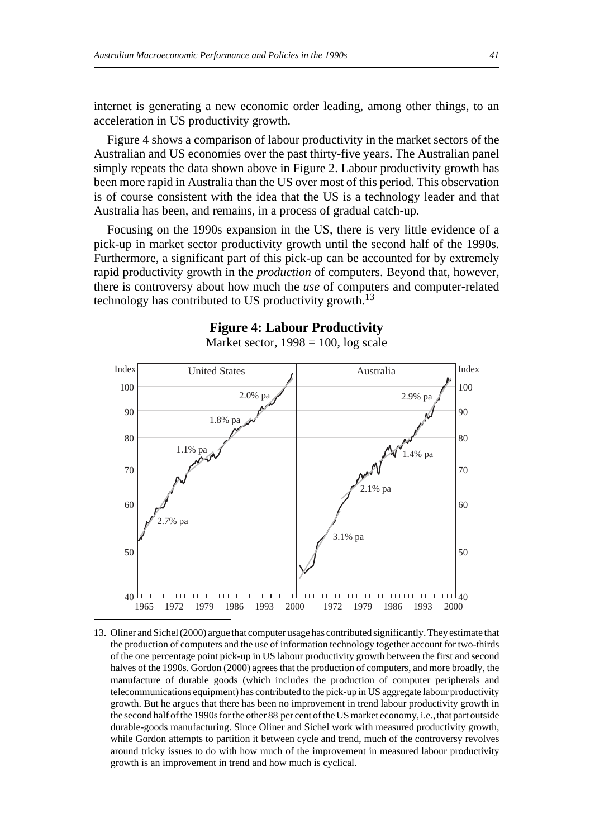internet is generating a new economic order leading, among other things, to an acceleration in US productivity growth.

Figure 4 shows a comparison of labour productivity in the market sectors of the Australian and US economies over the past thirty-five years. The Australian panel simply repeats the data shown above in Figure 2. Labour productivity growth has been more rapid in Australia than the US over most of this period. This observation is of course consistent with the idea that the US is a technology leader and that Australia has been, and remains, in a process of gradual catch-up.

Focusing on the 1990s expansion in the US, there is very little evidence of a pick-up in market sector productivity growth until the second half of the 1990s. Furthermore, a significant part of this pick-up can be accounted for by extremely rapid productivity growth in the *production* of computers. Beyond that, however, there is controversy about how much the *use* of computers and computer-related technology has contributed to US productivity growth.<sup>13</sup>



#### **Figure 4: Labour Productivity**

13. Oliner and Sichel (2000) argue that computer usage has contributed significantly. They estimate that the production of computers and the use of information technology together account for two-thirds of the one percentage point pick-up in US labour productivity growth between the first and second halves of the 1990s. Gordon (2000) agrees that the production of computers, and more broadly, the manufacture of durable goods (which includes the production of computer peripherals and telecommunications equipment) has contributed to the pick-up in US aggregate labour productivity growth. But he argues that there has been no improvement in trend labour productivity growth in the second half of the 1990s for the other 88 per cent of the US market economy, i.e., that part outside durable-goods manufacturing. Since Oliner and Sichel work with measured productivity growth, while Gordon attempts to partition it between cycle and trend, much of the controversy revolves around tricky issues to do with how much of the improvement in measured labour productivity growth is an improvement in trend and how much is cyclical.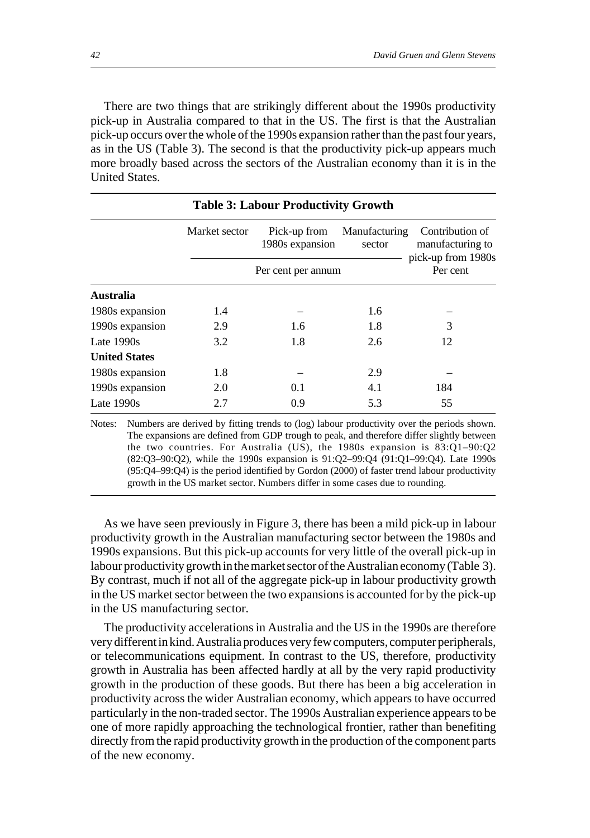There are two things that are strikingly different about the 1990s productivity pick-up in Australia compared to that in the US. The first is that the Australian pick-up occurs over the whole of the 1990s expansion rather than the past four years, as in the US (Table 3). The second is that the productivity pick-up appears much more broadly based across the sectors of the Australian economy than it is in the United States.

|                      |               | <b>Table 3: Labour Productivity Growth</b> |                         |                                                           |
|----------------------|---------------|--------------------------------------------|-------------------------|-----------------------------------------------------------|
|                      | Market sector | Pick-up from<br>1980s expansion            | Manufacturing<br>sector | Contribution of<br>manufacturing to<br>pick-up from 1980s |
|                      |               | Per cent per annum                         |                         | Per cent                                                  |
| Australia            |               |                                            |                         |                                                           |
| 1980s expansion      | 1.4           |                                            | 1.6                     |                                                           |
| 1990s expansion      | 2.9           | 1.6                                        | 1.8                     | 3                                                         |
| Late $1990s$         | 3.2           | 1.8                                        | 2.6                     | 12                                                        |
| <b>United States</b> |               |                                            |                         |                                                           |
| 1980s expansion      | 1.8           |                                            | 2.9                     |                                                           |
| 1990s expansion      | 2.0           | 0.1                                        | 4.1                     | 184                                                       |
| Late $1990s$         | 2.7           | 0.9                                        | 5.3                     | 55                                                        |

Notes: Numbers are derived by fitting trends to (log) labour productivity over the periods shown. The expansions are defined from GDP trough to peak, and therefore differ slightly between the two countries. For Australia (US), the 1980s expansion is 83:Q1–90:Q2 (82:Q3–90:Q2), while the 1990s expansion is 91:Q2–99:Q4 (91:Q1–99:Q4). Late 1990s (95:Q4–99:Q4) is the period identified by Gordon (2000) of faster trend labour productivity growth in the US market sector. Numbers differ in some cases due to rounding.

As we have seen previously in Figure 3, there has been a mild pick-up in labour productivity growth in the Australian manufacturing sector between the 1980s and 1990s expansions. But this pick-up accounts for very little of the overall pick-up in labour productivity growth in the market sector of the Australian economy (Table 3). By contrast, much if not all of the aggregate pick-up in labour productivity growth in the US market sector between the two expansions is accounted for by the pick-up in the US manufacturing sector.

The productivity accelerations in Australia and the US in the 1990s are therefore very different in kind. Australia produces very few computers, computer peripherals, or telecommunications equipment. In contrast to the US, therefore, productivity growth in Australia has been affected hardly at all by the very rapid productivity growth in the production of these goods. But there has been a big acceleration in productivity across the wider Australian economy, which appears to have occurred particularly in the non-traded sector. The 1990s Australian experience appears to be one of more rapidly approaching the technological frontier, rather than benefiting directly from the rapid productivity growth in the production of the component parts of the new economy.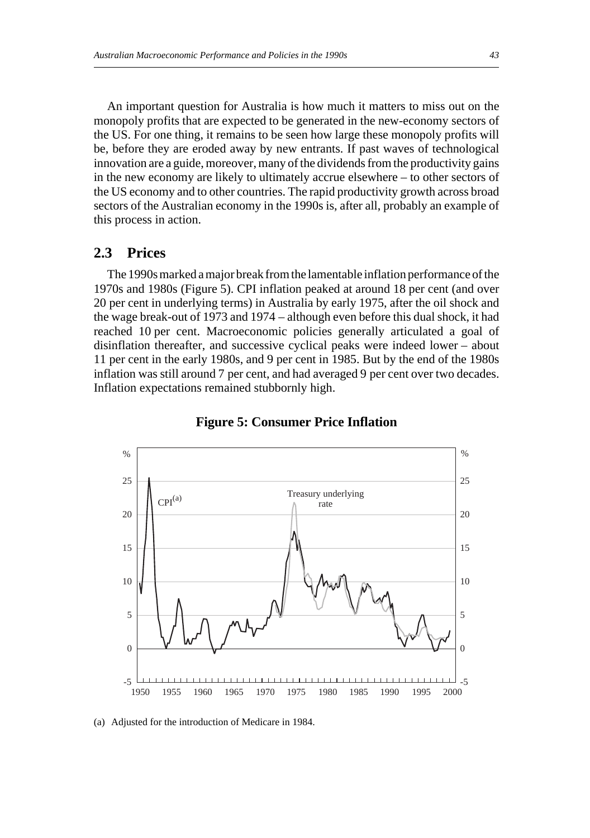An important question for Australia is how much it matters to miss out on the monopoly profits that are expected to be generated in the new-economy sectors of the US. For one thing, it remains to be seen how large these monopoly profits will be, before they are eroded away by new entrants. If past waves of technological innovation are a guide, moreover, many of the dividends from the productivity gains in the new economy are likely to ultimately accrue elsewhere – to other sectors of the US economy and to other countries. The rapid productivity growth across broad sectors of the Australian economy in the 1990s is, after all, probably an example of this process in action.

### **2.3 Prices**

The 1990s marked a major break from the lamentable inflation performance of the 1970s and 1980s (Figure 5). CPI inflation peaked at around 18 per cent (and over 20 per cent in underlying terms) in Australia by early 1975, after the oil shock and the wage break-out of 1973 and 1974 – although even before this dual shock, it had reached 10 per cent. Macroeconomic policies generally articulated a goal of disinflation thereafter, and successive cyclical peaks were indeed lower – about 11 per cent in the early 1980s, and 9 per cent in 1985. But by the end of the 1980s inflation was still around 7 per cent, and had averaged 9 per cent over two decades. Inflation expectations remained stubbornly high.



**Figure 5: Consumer Price Inflation**

(a) Adjusted for the introduction of Medicare in 1984.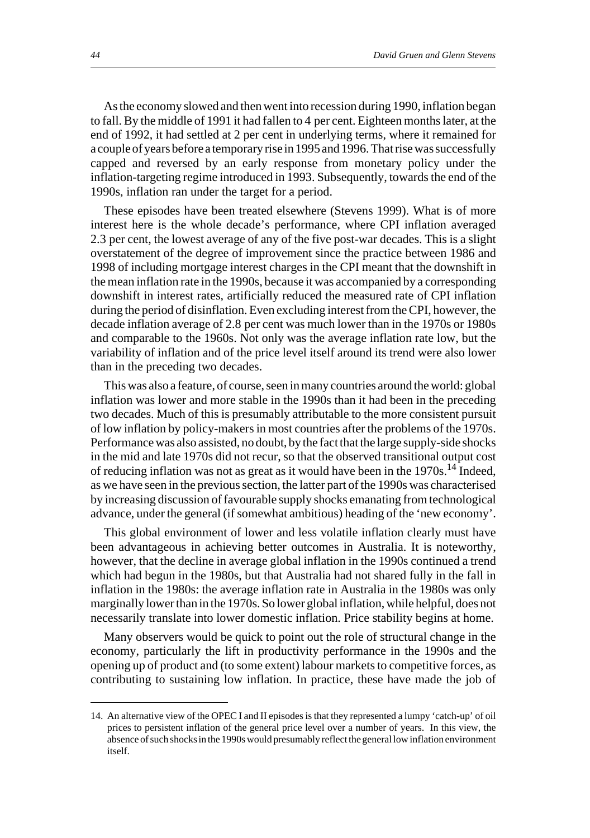As the economy slowed and then went into recession during 1990, inflation began to fall. By the middle of 1991 it had fallen to 4 per cent. Eighteen months later, at the end of 1992, it had settled at 2 per cent in underlying terms, where it remained for a couple of years before a temporary rise in 1995 and 1996. That rise was successfully capped and reversed by an early response from monetary policy under the inflation-targeting regime introduced in 1993. Subsequently, towards the end of the 1990s, inflation ran under the target for a period.

These episodes have been treated elsewhere (Stevens 1999). What is of more interest here is the whole decade's performance, where CPI inflation averaged 2.3 per cent, the lowest average of any of the five post-war decades. This is a slight overstatement of the degree of improvement since the practice between 1986 and 1998 of including mortgage interest charges in the CPI meant that the downshift in the mean inflation rate in the 1990s, because it was accompanied by a corresponding downshift in interest rates, artificially reduced the measured rate of CPI inflation during the period of disinflation. Even excluding interest from the CPI, however, the decade inflation average of 2.8 per cent was much lower than in the 1970s or 1980s and comparable to the 1960s. Not only was the average inflation rate low, but the variability of inflation and of the price level itself around its trend were also lower than in the preceding two decades.

This was also a feature, of course, seen in many countries around the world: global inflation was lower and more stable in the 1990s than it had been in the preceding two decades. Much of this is presumably attributable to the more consistent pursuit of low inflation by policy-makers in most countries after the problems of the 1970s. Performance was also assisted, no doubt, by the fact that the large supply-side shocks in the mid and late 1970s did not recur, so that the observed transitional output cost of reducing inflation was not as great as it would have been in the  $1970s$ .<sup>14</sup> Indeed, as we have seen in the previous section, the latter part of the 1990s was characterised by increasing discussion of favourable supply shocks emanating from technological advance, under the general (if somewhat ambitious) heading of the 'new economy'.

This global environment of lower and less volatile inflation clearly must have been advantageous in achieving better outcomes in Australia. It is noteworthy, however, that the decline in average global inflation in the 1990s continued a trend which had begun in the 1980s, but that Australia had not shared fully in the fall in inflation in the 1980s: the average inflation rate in Australia in the 1980s was only marginally lower than in the 1970s. So lower global inflation, while helpful, does not necessarily translate into lower domestic inflation. Price stability begins at home.

Many observers would be quick to point out the role of structural change in the economy, particularly the lift in productivity performance in the 1990s and the opening up of product and (to some extent) labour markets to competitive forces, as contributing to sustaining low inflation. In practice, these have made the job of

<sup>14.</sup> An alternative view of the OPEC I and II episodes is that they represented a lumpy 'catch-up' of oil prices to persistent inflation of the general price level over a number of years. In this view, the absence of such shocks in the 1990s would presumably reflect the general low inflation environment itself.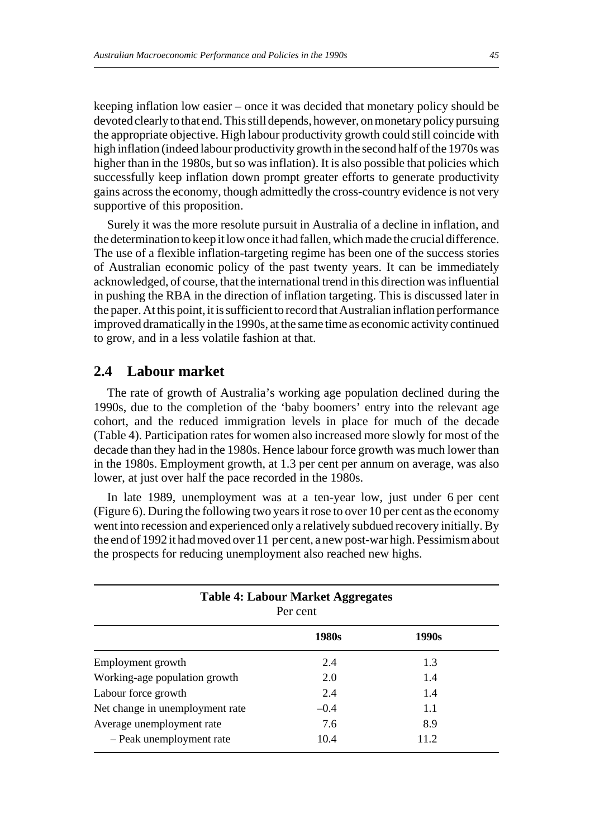keeping inflation low easier – once it was decided that monetary policy should be devoted clearly to that end. This still depends, however, on monetary policy pursuing the appropriate objective. High labour productivity growth could still coincide with high inflation (indeed labour productivity growth in the second half of the 1970s was higher than in the 1980s, but so was inflation). It is also possible that policies which successfully keep inflation down prompt greater efforts to generate productivity gains across the economy, though admittedly the cross-country evidence is not very supportive of this proposition.

Surely it was the more resolute pursuit in Australia of a decline in inflation, and the determination to keep it low once it had fallen, which made the crucial difference. The use of a flexible inflation-targeting regime has been one of the success stories of Australian economic policy of the past twenty years. It can be immediately acknowledged, of course, that the international trend in this direction was influential in pushing the RBA in the direction of inflation targeting. This is discussed later in the paper. At this point, it is sufficient to record that Australian inflation performance improved dramatically in the 1990s, at the same time as economic activity continued to grow, and in a less volatile fashion at that.

### **2.4 Labour market**

The rate of growth of Australia's working age population declined during the 1990s, due to the completion of the 'baby boomers' entry into the relevant age cohort, and the reduced immigration levels in place for much of the decade (Table 4). Participation rates for women also increased more slowly for most of the decade than they had in the 1980s. Hence labour force growth was much lower than in the 1980s. Employment growth, at 1.3 per cent per annum on average, was also lower, at just over half the pace recorded in the 1980s.

In late 1989, unemployment was at a ten-year low, just under 6 per cent (Figure 6). During the following two years it rose to over 10 per cent as the economy went into recession and experienced only a relatively subdued recovery initially. By the end of 1992 it had moved over 11 per cent, a new post-war high. Pessimism about the prospects for reducing unemployment also reached new highs.

|                                 | <b>Table 4: Labour Market Aggregates</b><br>Per cent |       |
|---------------------------------|------------------------------------------------------|-------|
|                                 | 1980s                                                | 1990s |
| Employment growth               | 2.4                                                  | 1.3   |
| Working-age population growth   | 2.0                                                  | 1.4   |
| Labour force growth             | 2.4                                                  | 1.4   |
| Net change in unemployment rate | $-0.4$                                               | 1.1   |
| Average unemployment rate       | 7.6                                                  | 8.9   |
| - Peak unemployment rate        | 10.4                                                 | 11.2  |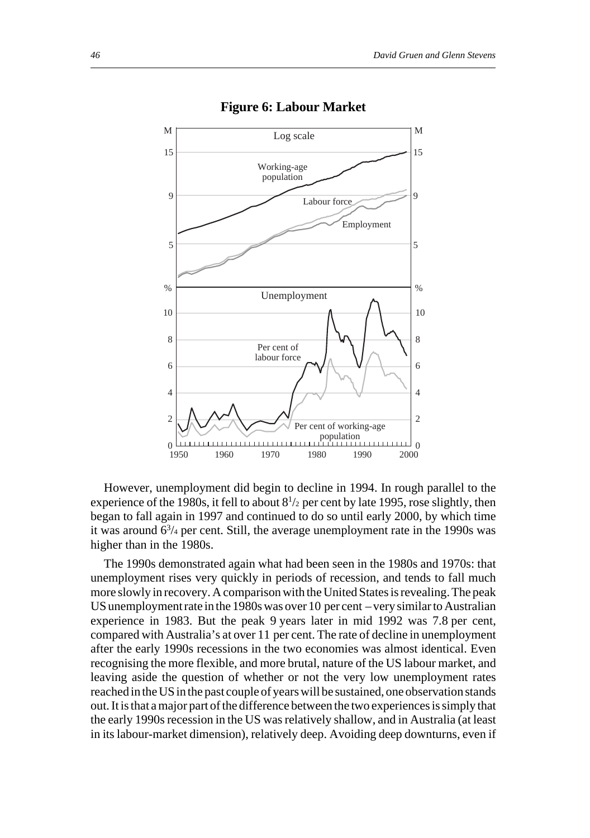

#### **Figure 6: Labour Market**

However, unemployment did begin to decline in 1994. In rough parallel to the experience of the 1980s, it fell to about  $8^{1/2}$  per cent by late 1995, rose slightly, then began to fall again in 1997 and continued to do so until early 2000, by which time it was around  $6^{3/4}$  per cent. Still, the average unemployment rate in the 1990s was higher than in the 1980s.

The 1990s demonstrated again what had been seen in the 1980s and 1970s: that unemployment rises very quickly in periods of recession, and tends to fall much more slowly in recovery. A comparison with the United States is revealing. The peak US unemployment rate in the 1980s was over 10 per cent – very similar to Australian experience in 1983. But the peak 9 years later in mid 1992 was 7.8 per cent, compared with Australia's at over 11 per cent. The rate of decline in unemployment after the early 1990s recessions in the two economies was almost identical. Even recognising the more flexible, and more brutal, nature of the US labour market, and leaving aside the question of whether or not the very low unemployment rates reached in the US in the past couple of years will be sustained, one observation stands out. It is that a major part of the difference between the two experiences is simply that the early 1990s recession in the US was relatively shallow, and in Australia (at least in its labour-market dimension), relatively deep. Avoiding deep downturns, even if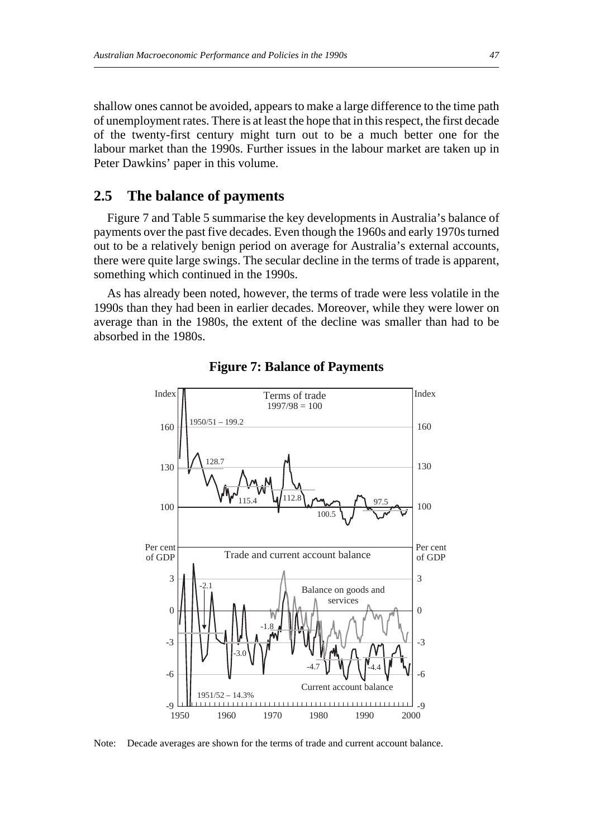shallow ones cannot be avoided, appears to make a large difference to the time path of unemployment rates. There is at least the hope that in this respect, the first decade of the twenty-first century might turn out to be a much better one for the labour market than the 1990s. Further issues in the labour market are taken up in Peter Dawkins' paper in this volume.

# **2.5 The balance of payments**

Figure 7 and Table 5 summarise the key developments in Australia's balance of payments over the past five decades. Even though the 1960s and early 1970s turned out to be a relatively benign period on average for Australia's external accounts, there were quite large swings. The secular decline in the terms of trade is apparent, something which continued in the 1990s.

As has already been noted, however, the terms of trade were less volatile in the 1990s than they had been in earlier decades. Moreover, while they were lower on average than in the 1980s, the extent of the decline was smaller than had to be absorbed in the 1980s.



**Figure 7: Balance of Payments**

Note: Decade averages are shown for the terms of trade and current account balance.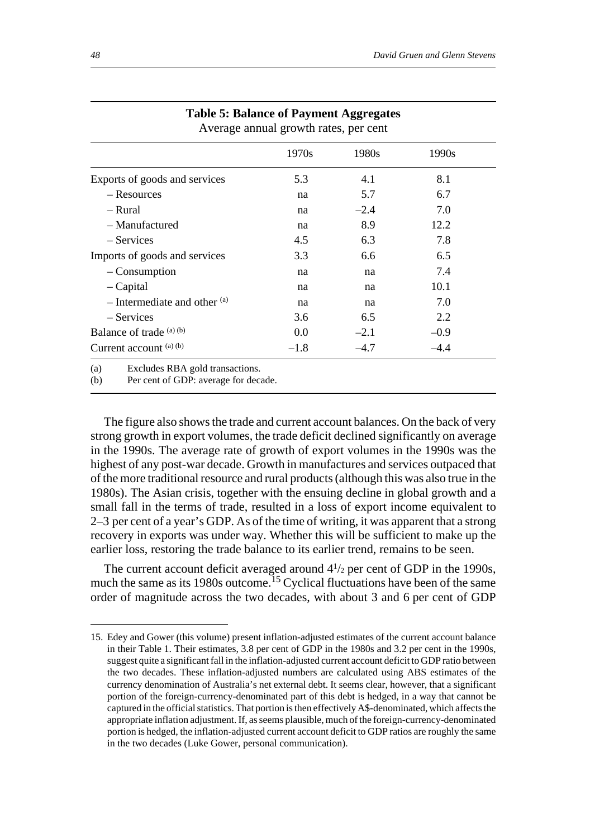|                                  | 1970s  | 1980s  | 1990s  |
|----------------------------------|--------|--------|--------|
| Exports of goods and services    | 5.3    | 4.1    | 8.1    |
| - Resources                      | na     | 5.7    | 6.7    |
| – Rural                          | na     | $-2.4$ | 7.0    |
| - Manufactured                   | na     | 8.9    | 12.2   |
| – Services                       | 4.5    | 6.3    | 7.8    |
| Imports of goods and services    | 3.3    | 6.6    | 6.5    |
| – Consumption                    | na     | na     | 7.4    |
| - Capital                        | na     | na     | 10.1   |
| $-$ Intermediate and other $(a)$ | na     | na     | 7.0    |
| – Services                       | 3.6    | 6.5    | 2.2    |
| Balance of trade $(a)$ (b)       | 0.0    | $-2.1$ | $-0.9$ |
| Current account (a) (b)          | $-1.8$ | $-4.7$ | $-4.4$ |

#### **Table 5: Balance of Payment Aggregates** Average annual growth rates, per cent

(b) Per cent of GDP: average for decade.

The figure also shows the trade and current account balances. On the back of very strong growth in export volumes, the trade deficit declined significantly on average in the 1990s. The average rate of growth of export volumes in the 1990s was the highest of any post-war decade. Growth in manufactures and services outpaced that of the more traditional resource and rural products (although this was also true in the 1980s). The Asian crisis, together with the ensuing decline in global growth and a small fall in the terms of trade, resulted in a loss of export income equivalent to 2–3 per cent of a year's GDP. As of the time of writing, it was apparent that a strong recovery in exports was under way. Whether this will be sufficient to make up the earlier loss, restoring the trade balance to its earlier trend, remains to be seen.

The current account deficit averaged around  $4\frac{1}{2}$  per cent of GDP in the 1990s, much the same as its 1980s outcome.<sup>15</sup> Cyclical fluctuations have been of the same order of magnitude across the two decades, with about 3 and 6 per cent of GDP

<sup>15.</sup> Edey and Gower (this volume) present inflation-adjusted estimates of the current account balance in their Table 1. Their estimates, 3.8 per cent of GDP in the 1980s and 3.2 per cent in the 1990s, suggest quite a significant fall in the inflation-adjusted current account deficit to GDP ratio between the two decades. These inflation-adjusted numbers are calculated using ABS estimates of the currency denomination of Australia's net external debt. It seems clear, however, that a significant portion of the foreign-currency-denominated part of this debt is hedged, in a way that cannot be captured in the official statistics. That portion is then effectively A\$-denominated, which affects the appropriate inflation adjustment. If, as seems plausible, much of the foreign-currency-denominated portion is hedged, the inflation-adjusted current account deficit to GDP ratios are roughly the same in the two decades (Luke Gower, personal communication).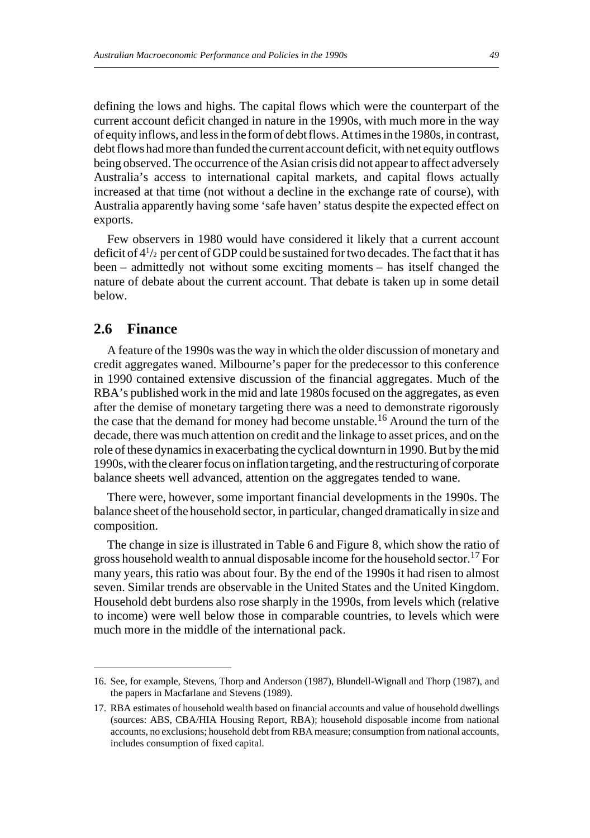defining the lows and highs. The capital flows which were the counterpart of the current account deficit changed in nature in the 1990s, with much more in the way of equity inflows, and less in the form of debt flows. At times in the 1980s, in contrast, debt flows had more than funded the current account deficit, with net equity outflows being observed. The occurrence of the Asian crisis did not appear to affect adversely Australia's access to international capital markets, and capital flows actually increased at that time (not without a decline in the exchange rate of course), with Australia apparently having some 'safe haven' status despite the expected effect on exports.

Few observers in 1980 would have considered it likely that a current account deficit of  $4^{1/2}$  per cent of GDP could be sustained for two decades. The fact that it has been – admittedly not without some exciting moments – has itself changed the nature of debate about the current account. That debate is taken up in some detail below.

## **2.6 Finance**

A feature of the 1990s was the way in which the older discussion of monetary and credit aggregates waned. Milbourne's paper for the predecessor to this conference in 1990 contained extensive discussion of the financial aggregates. Much of the RBA's published work in the mid and late 1980s focused on the aggregates, as even after the demise of monetary targeting there was a need to demonstrate rigorously the case that the demand for money had become unstable.16 Around the turn of the decade, there was much attention on credit and the linkage to asset prices, and on the role of these dynamics in exacerbating the cyclical downturn in 1990. But by the mid 1990s, with the clearer focus on inflation targeting, and the restructuring of corporate balance sheets well advanced, attention on the aggregates tended to wane.

There were, however, some important financial developments in the 1990s. The balance sheet of the household sector, in particular, changed dramatically in size and composition.

The change in size is illustrated in Table 6 and Figure 8, which show the ratio of gross household wealth to annual disposable income for the household sector.<sup>17</sup> For many years, this ratio was about four. By the end of the 1990s it had risen to almost seven. Similar trends are observable in the United States and the United Kingdom. Household debt burdens also rose sharply in the 1990s, from levels which (relative to income) were well below those in comparable countries, to levels which were much more in the middle of the international pack.

<sup>16.</sup> See, for example, Stevens, Thorp and Anderson (1987), Blundell-Wignall and Thorp (1987), and the papers in Macfarlane and Stevens (1989).

<sup>17.</sup> RBA estimates of household wealth based on financial accounts and value of household dwellings (sources: ABS, CBA/HIA Housing Report, RBA); household disposable income from national accounts, no exclusions; household debt from RBA measure; consumption from national accounts, includes consumption of fixed capital.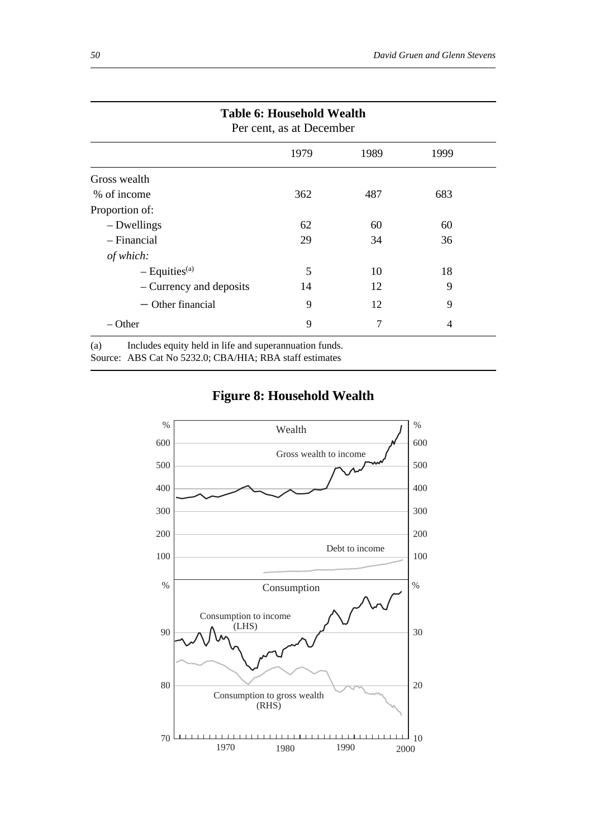|                             | 1979 | 1989 | 1999 |
|-----------------------------|------|------|------|
| Gross wealth                |      |      |      |
| % of income                 | 362  | 487  | 683  |
| Proportion of:              |      |      |      |
| - Dwellings                 | 62   | 60   | 60   |
| $-$ Financial               | 29   | 34   | 36   |
| of which:                   |      |      |      |
| $-$ Equities <sup>(a)</sup> | 5    | 10   | 18   |
| – Currency and deposits     | 14   | 12   | 9    |
| $-$ Other financial         | 9    | 12   | 9    |
| $-$ Other                   | 9    | 7    | 4    |

Source: ABS Cat No 5232.0; CBA/HIA; RBA staff estimates



# **Figure 8: Household Wealth**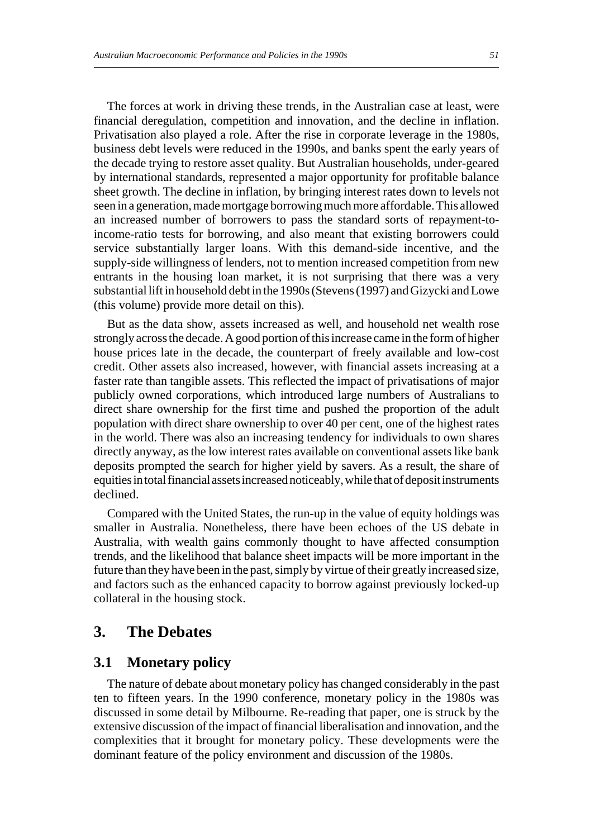The forces at work in driving these trends, in the Australian case at least, were financial deregulation, competition and innovation, and the decline in inflation. Privatisation also played a role. After the rise in corporate leverage in the 1980s, business debt levels were reduced in the 1990s, and banks spent the early years of the decade trying to restore asset quality. But Australian households, under-geared by international standards, represented a major opportunity for profitable balance sheet growth. The decline in inflation, by bringing interest rates down to levels not seen in a generation, made mortgage borrowing much more affordable. This allowed an increased number of borrowers to pass the standard sorts of repayment-toincome-ratio tests for borrowing, and also meant that existing borrowers could service substantially larger loans. With this demand-side incentive, and the supply-side willingness of lenders, not to mention increased competition from new entrants in the housing loan market, it is not surprising that there was a very substantial lift in household debt in the 1990s (Stevens (1997) and Gizycki and Lowe (this volume) provide more detail on this).

But as the data show, assets increased as well, and household net wealth rose strongly across the decade. A good portion of this increase came in the form of higher house prices late in the decade, the counterpart of freely available and low-cost credit. Other assets also increased, however, with financial assets increasing at a faster rate than tangible assets. This reflected the impact of privatisations of major publicly owned corporations, which introduced large numbers of Australians to direct share ownership for the first time and pushed the proportion of the adult population with direct share ownership to over 40 per cent, one of the highest rates in the world. There was also an increasing tendency for individuals to own shares directly anyway, as the low interest rates available on conventional assets like bank deposits prompted the search for higher yield by savers. As a result, the share of equities in total financial assets increased noticeably, while that of deposit instruments declined.

Compared with the United States, the run-up in the value of equity holdings was smaller in Australia. Nonetheless, there have been echoes of the US debate in Australia, with wealth gains commonly thought to have affected consumption trends, and the likelihood that balance sheet impacts will be more important in the future than they have been in the past, simply by virtue of their greatly increased size, and factors such as the enhanced capacity to borrow against previously locked-up collateral in the housing stock.

# **3. The Debates**

#### **3.1 Monetary policy**

The nature of debate about monetary policy has changed considerably in the past ten to fifteen years. In the 1990 conference, monetary policy in the 1980s was discussed in some detail by Milbourne. Re-reading that paper, one is struck by the extensive discussion of the impact of financial liberalisation and innovation, and the complexities that it brought for monetary policy. These developments were the dominant feature of the policy environment and discussion of the 1980s.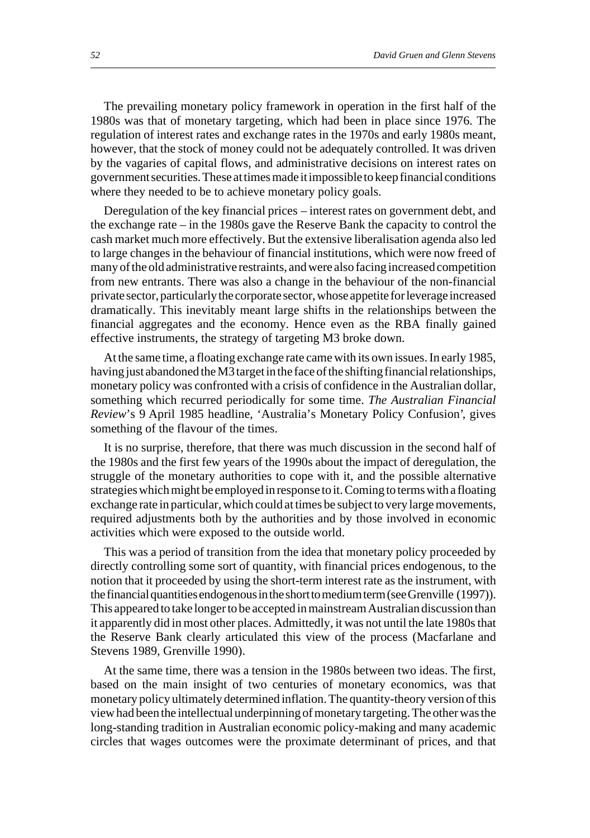The prevailing monetary policy framework in operation in the first half of the 1980s was that of monetary targeting, which had been in place since 1976. The regulation of interest rates and exchange rates in the 1970s and early 1980s meant, however, that the stock of money could not be adequately controlled. It was driven by the vagaries of capital flows, and administrative decisions on interest rates on government securities. These at times made it impossible to keep financial conditions where they needed to be to achieve monetary policy goals.

Deregulation of the key financial prices – interest rates on government debt, and the exchange rate – in the 1980s gave the Reserve Bank the capacity to control the cash market much more effectively. But the extensive liberalisation agenda also led to large changes in the behaviour of financial institutions, which were now freed of many of the old administrative restraints, and were also facing increased competition from new entrants. There was also a change in the behaviour of the non-financial private sector, particularly the corporate sector, whose appetite for leverage increased dramatically. This inevitably meant large shifts in the relationships between the financial aggregates and the economy. Hence even as the RBA finally gained effective instruments, the strategy of targeting M3 broke down.

At the same time, a floating exchange rate came with its own issues. In early 1985, having just abandoned the M3 target in the face of the shifting financial relationships, monetary policy was confronted with a crisis of confidence in the Australian dollar, something which recurred periodically for some time. *The Australian Financial Review*'s 9 April 1985 headline, 'Australia's Monetary Policy Confusion', gives something of the flavour of the times.

It is no surprise, therefore, that there was much discussion in the second half of the 1980s and the first few years of the 1990s about the impact of deregulation, the struggle of the monetary authorities to cope with it, and the possible alternative strategies which might be employed in response to it. Coming to terms with a floating exchange rate in particular, which could at times be subject to very large movements, required adjustments both by the authorities and by those involved in economic activities which were exposed to the outside world.

This was a period of transition from the idea that monetary policy proceeded by directly controlling some sort of quantity, with financial prices endogenous, to the notion that it proceeded by using the short-term interest rate as the instrument, with the financial quantities endogenous in the short to medium term (see Grenville (1997)). This appeared to take longer to be accepted in mainstream Australian discussion than it apparently did in most other places. Admittedly, it was not until the late 1980s that the Reserve Bank clearly articulated this view of the process (Macfarlane and Stevens 1989, Grenville 1990).

At the same time, there was a tension in the 1980s between two ideas. The first, based on the main insight of two centuries of monetary economics, was that monetary policy ultimately determined inflation. The quantity-theory version of this view had been the intellectual underpinning of monetary targeting. The other was the long-standing tradition in Australian economic policy-making and many academic circles that wages outcomes were the proximate determinant of prices, and that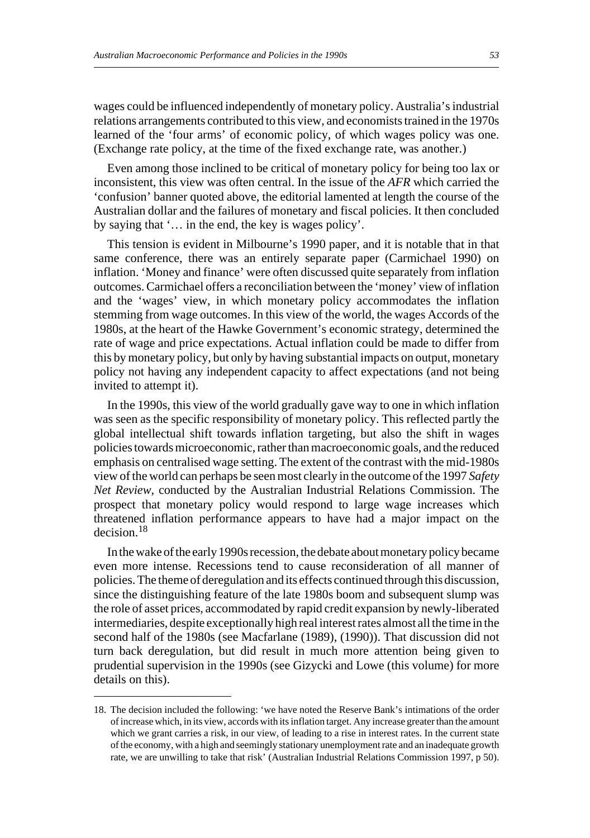wages could be influenced independently of monetary policy. Australia's industrial relations arrangements contributed to this view, and economists trained in the 1970s learned of the 'four arms' of economic policy, of which wages policy was one. (Exchange rate policy, at the time of the fixed exchange rate, was another.)

Even among those inclined to be critical of monetary policy for being too lax or inconsistent, this view was often central. In the issue of the *AFR* which carried the 'confusion' banner quoted above, the editorial lamented at length the course of the Australian dollar and the failures of monetary and fiscal policies. It then concluded by saying that '… in the end, the key is wages policy'.

This tension is evident in Milbourne's 1990 paper, and it is notable that in that same conference, there was an entirely separate paper (Carmichael 1990) on inflation. 'Money and finance' were often discussed quite separately from inflation outcomes. Carmichael offers a reconciliation between the 'money' view of inflation and the 'wages' view, in which monetary policy accommodates the inflation stemming from wage outcomes. In this view of the world, the wages Accords of the 1980s, at the heart of the Hawke Government's economic strategy, determined the rate of wage and price expectations. Actual inflation could be made to differ from this by monetary policy, but only by having substantial impacts on output, monetary policy not having any independent capacity to affect expectations (and not being invited to attempt it).

In the 1990s, this view of the world gradually gave way to one in which inflation was seen as the specific responsibility of monetary policy. This reflected partly the global intellectual shift towards inflation targeting, but also the shift in wages policies towards microeconomic, rather than macroeconomic goals, and the reduced emphasis on centralised wage setting. The extent of the contrast with the mid-1980s view of the world can perhaps be seen most clearly in the outcome of the 1997 *Safety Net Review*, conducted by the Australian Industrial Relations Commission. The prospect that monetary policy would respond to large wage increases which threatened inflation performance appears to have had a major impact on the decision.<sup>18</sup>

In the wake of the early 1990s recession, the debate about monetary policy became even more intense. Recessions tend to cause reconsideration of all manner of policies. The theme of deregulation and its effects continued through this discussion, since the distinguishing feature of the late 1980s boom and subsequent slump was the role of asset prices, accommodated by rapid credit expansion by newly-liberated intermediaries, despite exceptionally high real interest rates almost all the time in the second half of the 1980s (see Macfarlane (1989), (1990)). That discussion did not turn back deregulation, but did result in much more attention being given to prudential supervision in the 1990s (see Gizycki and Lowe (this volume) for more details on this).

<sup>18.</sup> The decision included the following: 'we have noted the Reserve Bank's intimations of the order of increase which, in its view, accords with its inflation target. Any increase greater than the amount which we grant carries a risk, in our view, of leading to a rise in interest rates. In the current state of the economy, with a high and seemingly stationary unemployment rate and an inadequate growth rate, we are unwilling to take that risk' (Australian Industrial Relations Commission 1997, p 50).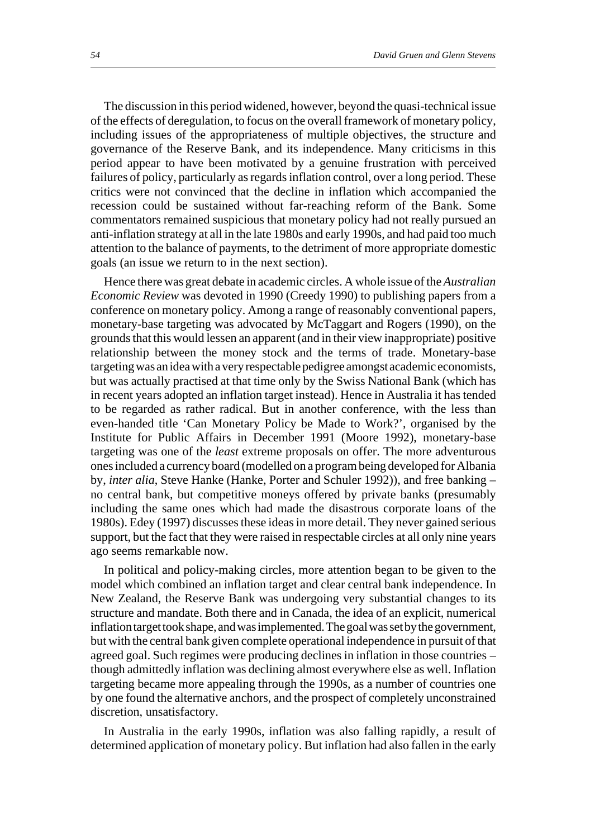The discussion in this period widened, however, beyond the quasi-technical issue of the effects of deregulation, to focus on the overall framework of monetary policy, including issues of the appropriateness of multiple objectives, the structure and governance of the Reserve Bank, and its independence. Many criticisms in this period appear to have been motivated by a genuine frustration with perceived failures of policy, particularly as regards inflation control, over a long period. These critics were not convinced that the decline in inflation which accompanied the recession could be sustained without far-reaching reform of the Bank. Some commentators remained suspicious that monetary policy had not really pursued an anti-inflation strategy at all in the late 1980s and early 1990s, and had paid too much attention to the balance of payments, to the detriment of more appropriate domestic goals (an issue we return to in the next section).

Hence there was great debate in academic circles. A whole issue of the *Australian Economic Review* was devoted in 1990 (Creedy 1990) to publishing papers from a conference on monetary policy. Among a range of reasonably conventional papers, monetary-base targeting was advocated by McTaggart and Rogers (1990), on the grounds that this would lessen an apparent (and in their view inappropriate) positive relationship between the money stock and the terms of trade. Monetary-base targeting was an idea with a very respectable pedigree amongst academic economists, but was actually practised at that time only by the Swiss National Bank (which has in recent years adopted an inflation target instead). Hence in Australia it has tended to be regarded as rather radical. But in another conference, with the less than even-handed title 'Can Monetary Policy be Made to Work?', organised by the Institute for Public Affairs in December 1991 (Moore 1992), monetary-base targeting was one of the *least* extreme proposals on offer. The more adventurous ones included a currency board (modelled on a program being developed for Albania by, *inter alia*, Steve Hanke (Hanke, Porter and Schuler 1992)), and free banking – no central bank, but competitive moneys offered by private banks (presumably including the same ones which had made the disastrous corporate loans of the 1980s). Edey (1997) discusses these ideas in more detail. They never gained serious support, but the fact that they were raised in respectable circles at all only nine years ago seems remarkable now.

In political and policy-making circles, more attention began to be given to the model which combined an inflation target and clear central bank independence. In New Zealand, the Reserve Bank was undergoing very substantial changes to its structure and mandate. Both there and in Canada, the idea of an explicit, numerical inflation target took shape, and was implemented. The goal was set by the government, but with the central bank given complete operational independence in pursuit of that agreed goal. Such regimes were producing declines in inflation in those countries – though admittedly inflation was declining almost everywhere else as well. Inflation targeting became more appealing through the 1990s, as a number of countries one by one found the alternative anchors, and the prospect of completely unconstrained discretion, unsatisfactory.

In Australia in the early 1990s, inflation was also falling rapidly, a result of determined application of monetary policy. But inflation had also fallen in the early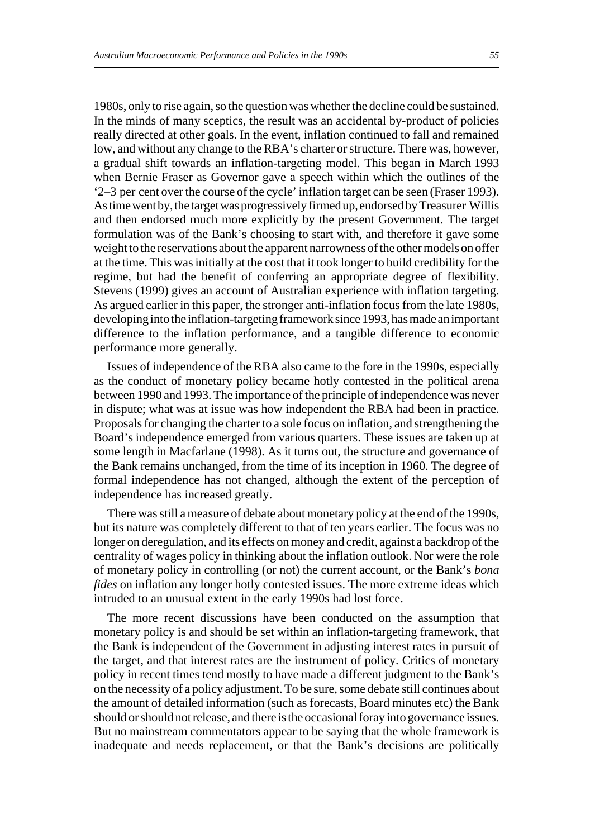1980s, only to rise again, so the question was whether the decline could be sustained. In the minds of many sceptics, the result was an accidental by-product of policies really directed at other goals. In the event, inflation continued to fall and remained low, and without any change to the RBA's charter or structure. There was, however, a gradual shift towards an inflation-targeting model. This began in March 1993 when Bernie Fraser as Governor gave a speech within which the outlines of the '2–3 per cent over the course of the cycle' inflation target can be seen (Fraser 1993). As time went by, the target was progressively firmed up, endorsed by Treasurer Willis and then endorsed much more explicitly by the present Government. The target formulation was of the Bank's choosing to start with, and therefore it gave some weight to the reservations about the apparent narrowness of the other models on offer at the time. This was initially at the cost that it took longer to build credibility for the regime, but had the benefit of conferring an appropriate degree of flexibility. Stevens (1999) gives an account of Australian experience with inflation targeting. As argued earlier in this paper, the stronger anti-inflation focus from the late 1980s, developing into the inflation-targeting framework since 1993, has made an important difference to the inflation performance, and a tangible difference to economic performance more generally.

Issues of independence of the RBA also came to the fore in the 1990s, especially as the conduct of monetary policy became hotly contested in the political arena between 1990 and 1993. The importance of the principle of independence was never in dispute; what was at issue was how independent the RBA had been in practice. Proposals for changing the charter to a sole focus on inflation, and strengthening the Board's independence emerged from various quarters. These issues are taken up at some length in Macfarlane (1998). As it turns out, the structure and governance of the Bank remains unchanged, from the time of its inception in 1960. The degree of formal independence has not changed, although the extent of the perception of independence has increased greatly.

There was still a measure of debate about monetary policy at the end of the 1990s, but its nature was completely different to that of ten years earlier. The focus was no longer on deregulation, and its effects on money and credit, against a backdrop of the centrality of wages policy in thinking about the inflation outlook. Nor were the role of monetary policy in controlling (or not) the current account, or the Bank's *bona fides* on inflation any longer hotly contested issues. The more extreme ideas which intruded to an unusual extent in the early 1990s had lost force.

The more recent discussions have been conducted on the assumption that monetary policy is and should be set within an inflation-targeting framework, that the Bank is independent of the Government in adjusting interest rates in pursuit of the target, and that interest rates are the instrument of policy. Critics of monetary policy in recent times tend mostly to have made a different judgment to the Bank's on the necessity of a policy adjustment. To be sure, some debate still continues about the amount of detailed information (such as forecasts, Board minutes etc) the Bank should or should not release, and there is the occasional foray into governance issues. But no mainstream commentators appear to be saying that the whole framework is inadequate and needs replacement, or that the Bank's decisions are politically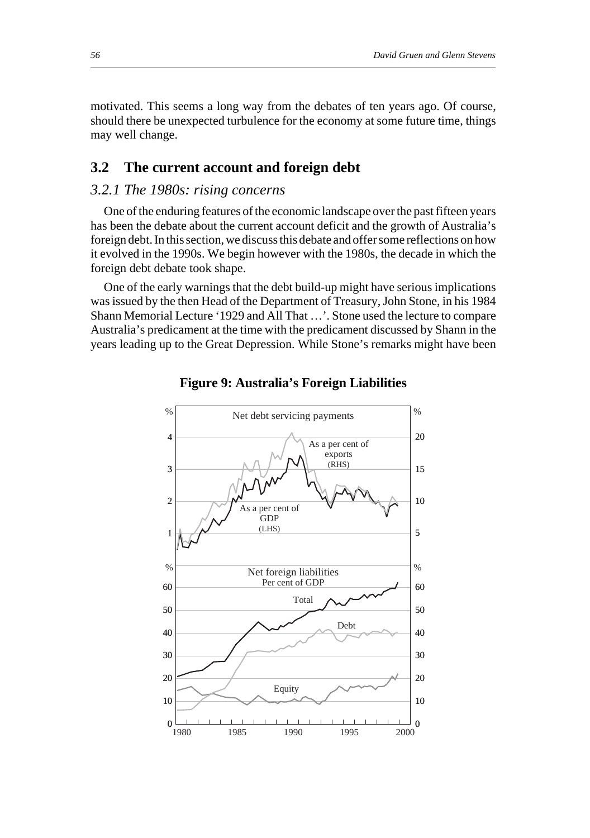motivated. This seems a long way from the debates of ten years ago. Of course, should there be unexpected turbulence for the economy at some future time, things may well change.

## **3.2 The current account and foreign debt**

# *3.2.1 The 1980s: rising concerns*

One of the enduring features of the economic landscape over the past fifteen years has been the debate about the current account deficit and the growth of Australia's foreign debt. In this section, we discuss this debate and offer some reflections on how it evolved in the 1990s. We begin however with the 1980s, the decade in which the foreign debt debate took shape.

One of the early warnings that the debt build-up might have serious implications was issued by the then Head of the Department of Treasury, John Stone, in his 1984 Shann Memorial Lecture '1929 and All That …'. Stone used the lecture to compare Australia's predicament at the time with the predicament discussed by Shann in the years leading up to the Great Depression. While Stone's remarks might have been



**Figure 9: Australia's Foreign Liabilities**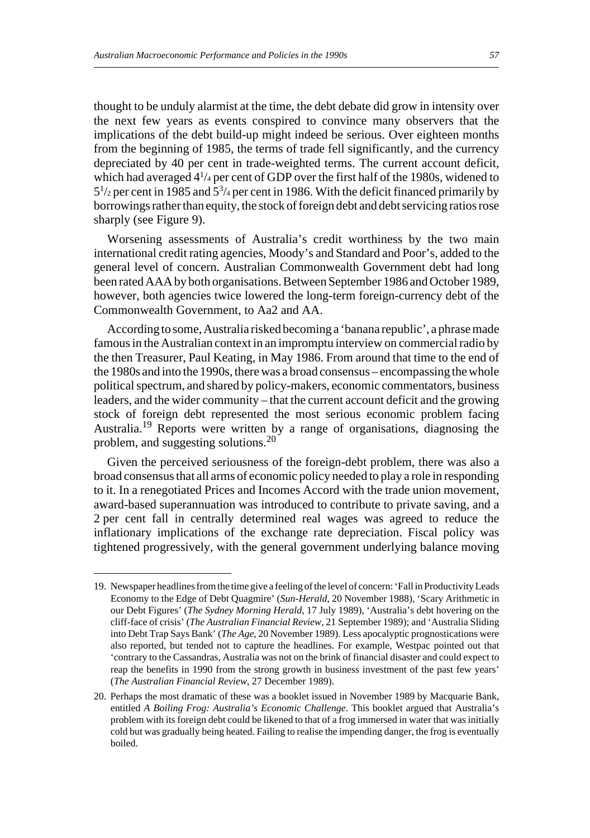thought to be unduly alarmist at the time, the debt debate did grow in intensity over the next few years as events conspired to convince many observers that the implications of the debt build-up might indeed be serious. Over eighteen months from the beginning of 1985, the terms of trade fell significantly, and the currency depreciated by 40 per cent in trade-weighted terms. The current account deficit, which had averaged 41 /4 per cent of GDP over the first half of the 1980s, widened to 51 /2 per cent in 1985 and 53 /4 per cent in 1986. With the deficit financed primarily by borrowings rather than equity, the stock of foreign debt and debt servicing ratios rose sharply (see Figure 9).

Worsening assessments of Australia's credit worthiness by the two main international credit rating agencies, Moody's and Standard and Poor's, added to the general level of concern. Australian Commonwealth Government debt had long been rated AAA by both organisations. Between September 1986 and October 1989, however, both agencies twice lowered the long-term foreign-currency debt of the Commonwealth Government, to Aa2 and AA.

According to some, Australia risked becoming a 'banana republic', a phrase made famous in the Australian context in an impromptu interview on commercial radio by the then Treasurer, Paul Keating, in May 1986. From around that time to the end of the 1980s and into the 1990s, there was a broad consensus – encompassing the whole political spectrum, and shared by policy-makers, economic commentators, business leaders, and the wider community – that the current account deficit and the growing stock of foreign debt represented the most serious economic problem facing Australia.19 Reports were written by a range of organisations, diagnosing the problem, and suggesting solutions.<sup>20</sup>

Given the perceived seriousness of the foreign-debt problem, there was also a broad consensus that all arms of economic policy needed to play a role in responding to it. In a renegotiated Prices and Incomes Accord with the trade union movement, award-based superannuation was introduced to contribute to private saving, and a 2 per cent fall in centrally determined real wages was agreed to reduce the inflationary implications of the exchange rate depreciation. Fiscal policy was tightened progressively, with the general government underlying balance moving

<sup>19.</sup> Newspaper headlines from the time give a feeling of the level of concern: 'Fall in Productivity Leads Economy to the Edge of Debt Quagmire' (*Sun-Herald*, 20 November 1988), 'Scary Arithmetic in our Debt Figures' (*The Sydney Morning Herald*, 17 July 1989), 'Australia's debt hovering on the cliff-face of crisis' (*The Australian Financial Review*, 21 September 1989); and 'Australia Sliding into Debt Trap Says Bank' (*The Age*, 20 November 1989). Less apocalyptic prognostications were also reported, but tended not to capture the headlines. For example, Westpac pointed out that 'contrary to the Cassandras, Australia was not on the brink of financial disaster and could expect to reap the benefits in 1990 from the strong growth in business investment of the past few years' (*The Australian Financial Review*, 27 December 1989).

<sup>20.</sup> Perhaps the most dramatic of these was a booklet issued in November 1989 by Macquarie Bank, entitled *A Boiling Frog: Australia's Economic Challenge*. This booklet argued that Australia's problem with its foreign debt could be likened to that of a frog immersed in water that was initially cold but was gradually being heated. Failing to realise the impending danger, the frog is eventually boiled.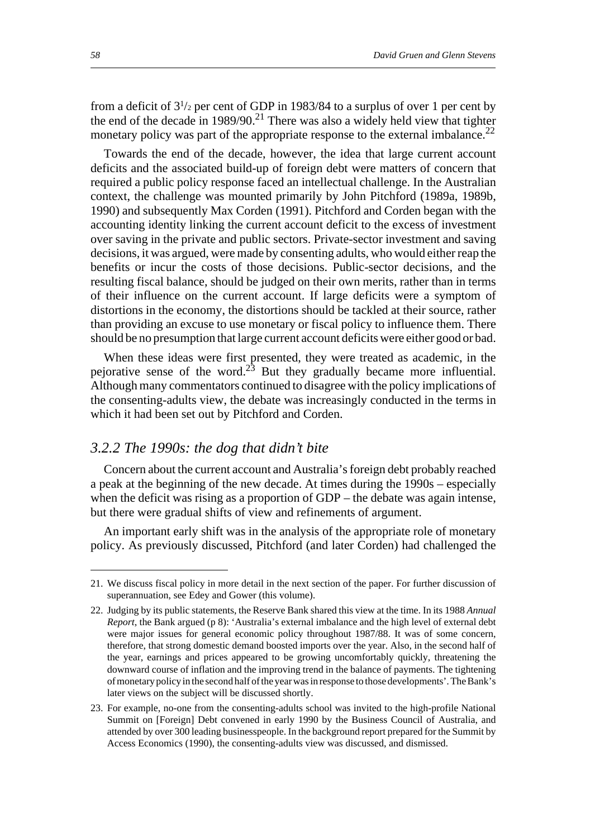from a deficit of  $3^{1/2}$  per cent of GDP in 1983/84 to a surplus of over 1 per cent by the end of the decade in  $1989/90$ .<sup>21</sup> There was also a widely held view that tighter monetary policy was part of the appropriate response to the external imbalance.<sup>22</sup>

Towards the end of the decade, however, the idea that large current account deficits and the associated build-up of foreign debt were matters of concern that required a public policy response faced an intellectual challenge. In the Australian context, the challenge was mounted primarily by John Pitchford (1989a, 1989b, 1990) and subsequently Max Corden (1991). Pitchford and Corden began with the accounting identity linking the current account deficit to the excess of investment over saving in the private and public sectors. Private-sector investment and saving decisions, it was argued, were made by consenting adults, who would either reap the benefits or incur the costs of those decisions. Public-sector decisions, and the resulting fiscal balance, should be judged on their own merits, rather than in terms of their influence on the current account. If large deficits were a symptom of distortions in the economy, the distortions should be tackled at their source, rather than providing an excuse to use monetary or fiscal policy to influence them. There should be no presumption that large current account deficits were either good or bad.

When these ideas were first presented, they were treated as academic, in the pejorative sense of the word.<sup>23</sup> But they gradually became more influential. Although many commentators continued to disagree with the policy implications of the consenting-adults view, the debate was increasingly conducted in the terms in which it had been set out by Pitchford and Corden.

## *3.2.2 The 1990s: the dog that didn't bite*

Concern about the current account and Australia's foreign debt probably reached a peak at the beginning of the new decade. At times during the 1990s – especially when the deficit was rising as a proportion of GDP – the debate was again intense, but there were gradual shifts of view and refinements of argument.

An important early shift was in the analysis of the appropriate role of monetary policy. As previously discussed, Pitchford (and later Corden) had challenged the

<sup>21.</sup> We discuss fiscal policy in more detail in the next section of the paper. For further discussion of superannuation, see Edey and Gower (this volume).

<sup>22.</sup> Judging by its public statements, the Reserve Bank shared this view at the time. In its 1988 *Annual Report*, the Bank argued (p 8): 'Australia's external imbalance and the high level of external debt were major issues for general economic policy throughout 1987/88. It was of some concern, therefore, that strong domestic demand boosted imports over the year. Also, in the second half of the year, earnings and prices appeared to be growing uncomfortably quickly, threatening the downward course of inflation and the improving trend in the balance of payments. The tightening of monetary policy in the second half of the year was in response to those developments'. The Bank's later views on the subject will be discussed shortly.

<sup>23.</sup> For example, no-one from the consenting-adults school was invited to the high-profile National Summit on [Foreign] Debt convened in early 1990 by the Business Council of Australia, and attended by over 300 leading businesspeople. In the background report prepared for the Summit by Access Economics (1990), the consenting-adults view was discussed, and dismissed.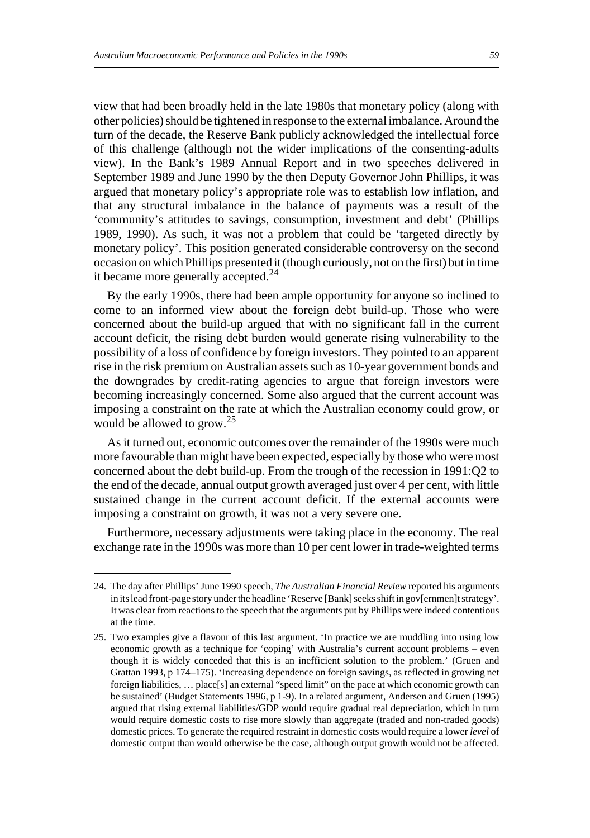view that had been broadly held in the late 1980s that monetary policy (along with other policies) should be tightened in response to the external imbalance. Around the turn of the decade, the Reserve Bank publicly acknowledged the intellectual force of this challenge (although not the wider implications of the consenting-adults view). In the Bank's 1989 Annual Report and in two speeches delivered in September 1989 and June 1990 by the then Deputy Governor John Phillips, it was argued that monetary policy's appropriate role was to establish low inflation, and that any structural imbalance in the balance of payments was a result of the 'community's attitudes to savings, consumption, investment and debt' (Phillips 1989, 1990). As such, it was not a problem that could be 'targeted directly by monetary policy'. This position generated considerable controversy on the second occasion on which Phillips presented it (though curiously, not on the first) but in time it became more generally accepted.<sup>24</sup>

By the early 1990s, there had been ample opportunity for anyone so inclined to come to an informed view about the foreign debt build-up. Those who were concerned about the build-up argued that with no significant fall in the current account deficit, the rising debt burden would generate rising vulnerability to the possibility of a loss of confidence by foreign investors. They pointed to an apparent rise in the risk premium on Australian assets such as 10-year government bonds and the downgrades by credit-rating agencies to argue that foreign investors were becoming increasingly concerned. Some also argued that the current account was imposing a constraint on the rate at which the Australian economy could grow, or would be allowed to grow.<sup>25</sup>

As it turned out, economic outcomes over the remainder of the 1990s were much more favourable than might have been expected, especially by those who were most concerned about the debt build-up. From the trough of the recession in 1991:Q2 to the end of the decade, annual output growth averaged just over 4 per cent, with little sustained change in the current account deficit. If the external accounts were imposing a constraint on growth, it was not a very severe one.

Furthermore, necessary adjustments were taking place in the economy. The real exchange rate in the 1990s was more than 10 per cent lower in trade-weighted terms

<sup>24.</sup> The day after Phillips' June 1990 speech, *The Australian Financial Review* reported his arguments in its lead front-page story under the headline 'Reserve [Bank] seeks shift in gov[ernmen]t strategy'. It was clear from reactions to the speech that the arguments put by Phillips were indeed contentious at the time.

<sup>25.</sup> Two examples give a flavour of this last argument. 'In practice we are muddling into using low economic growth as a technique for 'coping' with Australia's current account problems – even though it is widely conceded that this is an inefficient solution to the problem.' (Gruen and Grattan 1993, p 174–175). 'Increasing dependence on foreign savings, as reflected in growing net foreign liabilities, … place[s] an external "speed limit" on the pace at which economic growth can be sustained' (Budget Statements 1996, p 1-9). In a related argument, Andersen and Gruen (1995) argued that rising external liabilities/GDP would require gradual real depreciation, which in turn would require domestic costs to rise more slowly than aggregate (traded and non-traded goods) domestic prices. To generate the required restraint in domestic costs would require a lower *level* of domestic output than would otherwise be the case, although output growth would not be affected.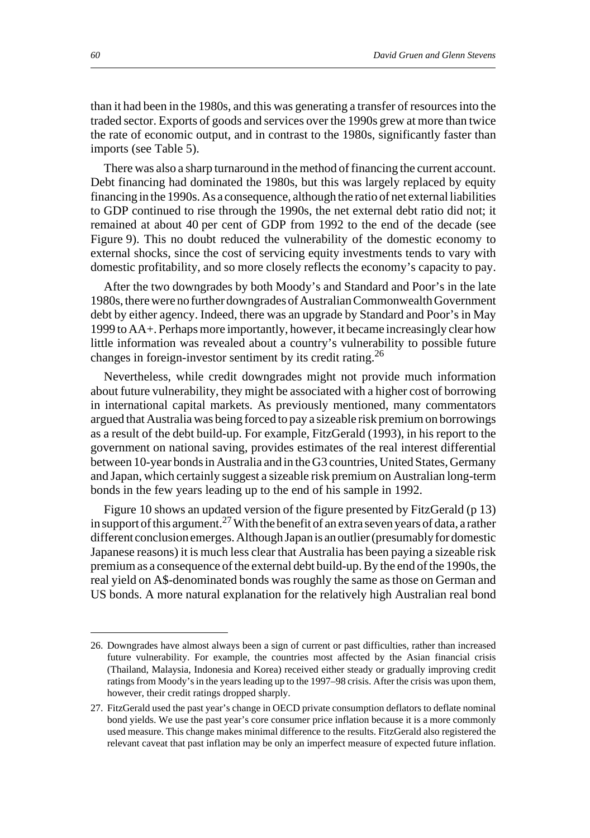than it had been in the 1980s, and this was generating a transfer of resources into the traded sector. Exports of goods and services over the 1990s grew at more than twice the rate of economic output, and in contrast to the 1980s, significantly faster than imports (see Table 5).

There was also a sharp turnaround in the method of financing the current account. Debt financing had dominated the 1980s, but this was largely replaced by equity financing in the 1990s. As a consequence, although the ratio of net external liabilities to GDP continued to rise through the 1990s, the net external debt ratio did not; it remained at about 40 per cent of GDP from 1992 to the end of the decade (see Figure 9). This no doubt reduced the vulnerability of the domestic economy to external shocks, since the cost of servicing equity investments tends to vary with domestic profitability, and so more closely reflects the economy's capacity to pay.

After the two downgrades by both Moody's and Standard and Poor's in the late 1980s, there were no further downgrades of Australian Commonwealth Government debt by either agency. Indeed, there was an upgrade by Standard and Poor's in May 1999 to AA+. Perhaps more importantly, however, it became increasingly clear how little information was revealed about a country's vulnerability to possible future changes in foreign-investor sentiment by its credit rating.26

Nevertheless, while credit downgrades might not provide much information about future vulnerability, they might be associated with a higher cost of borrowing in international capital markets. As previously mentioned, many commentators argued that Australia was being forced to pay a sizeable risk premium on borrowings as a result of the debt build-up. For example, FitzGerald (1993), in his report to the government on national saving, provides estimates of the real interest differential between 10-year bonds in Australia and in the G3 countries, United States, Germany and Japan, which certainly suggest a sizeable risk premium on Australian long-term bonds in the few years leading up to the end of his sample in 1992.

Figure 10 shows an updated version of the figure presented by FitzGerald (p 13) in support of this argument.<sup>27</sup> With the benefit of an extra seven years of data, a rather different conclusion emerges. Although Japan is an outlier (presumably for domestic Japanese reasons) it is much less clear that Australia has been paying a sizeable risk premium as a consequence of the external debt build-up. By the end of the 1990s, the real yield on A\$-denominated bonds was roughly the same as those on German and US bonds. A more natural explanation for the relatively high Australian real bond

<sup>26.</sup> Downgrades have almost always been a sign of current or past difficulties, rather than increased future vulnerability. For example, the countries most affected by the Asian financial crisis (Thailand, Malaysia, Indonesia and Korea) received either steady or gradually improving credit ratings from Moody's in the years leading up to the 1997–98 crisis. After the crisis was upon them, however, their credit ratings dropped sharply.

<sup>27.</sup> FitzGerald used the past year's change in OECD private consumption deflators to deflate nominal bond yields. We use the past year's core consumer price inflation because it is a more commonly used measure. This change makes minimal difference to the results. FitzGerald also registered the relevant caveat that past inflation may be only an imperfect measure of expected future inflation.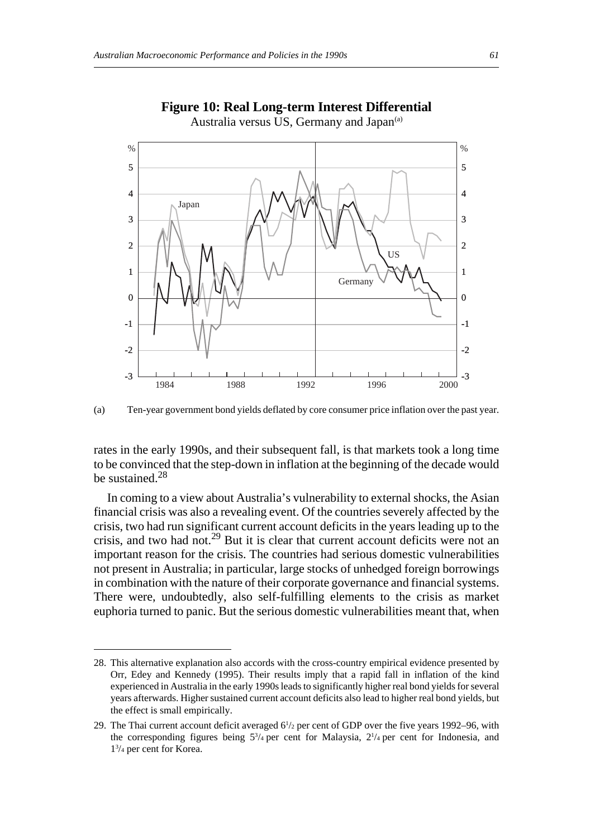

#### **Figure 10: Real Long-term Interest Differential** Australia versus US, Germany and Japan<sup>(a)</sup>



rates in the early 1990s, and their subsequent fall, is that markets took a long time to be convinced that the step-down in inflation at the beginning of the decade would be sustained.<sup>28</sup>

In coming to a view about Australia's vulnerability to external shocks, the Asian financial crisis was also a revealing event. Of the countries severely affected by the crisis, two had run significant current account deficits in the years leading up to the crisis, and two had not.<sup>29</sup> But it is clear that current account deficits were not an important reason for the crisis. The countries had serious domestic vulnerabilities not present in Australia; in particular, large stocks of unhedged foreign borrowings in combination with the nature of their corporate governance and financial systems. There were, undoubtedly, also self-fulfilling elements to the crisis as market euphoria turned to panic. But the serious domestic vulnerabilities meant that, when

<sup>28.</sup> This alternative explanation also accords with the cross-country empirical evidence presented by Orr, Edey and Kennedy (1995). Their results imply that a rapid fall in inflation of the kind experienced in Australia in the early 1990s leads to significantly higher real bond yields for several years afterwards. Higher sustained current account deficits also lead to higher real bond yields, but the effect is small empirically.

<sup>29.</sup> The Thai current account deficit averaged  $6^{1/2}$  per cent of GDP over the five years 1992–96, with the corresponding figures being  $5\frac{3}{4}$  per cent for Malaysia,  $2\frac{1}{4}$  per cent for Indonesia, and 13 /4 per cent for Korea.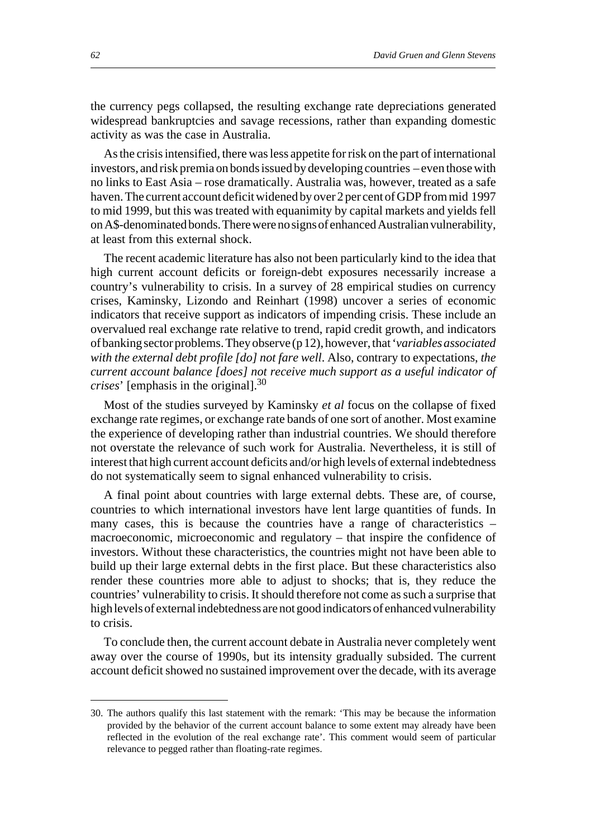the currency pegs collapsed, the resulting exchange rate depreciations generated widespread bankruptcies and savage recessions, rather than expanding domestic activity as was the case in Australia.

As the crisis intensified, there was less appetite for risk on the part of international investors, and risk premia on bonds issued by developing countries – even those with no links to East Asia – rose dramatically. Australia was, however, treated as a safe haven. The current account deficit widened by over 2 per cent of GDP from mid 1997 to mid 1999, but this was treated with equanimity by capital markets and yields fell on A\$-denominated bonds. There were no signs of enhanced Australian vulnerability, at least from this external shock.

The recent academic literature has also not been particularly kind to the idea that high current account deficits or foreign-debt exposures necessarily increase a country's vulnerability to crisis. In a survey of 28 empirical studies on currency crises, Kaminsky, Lizondo and Reinhart (1998) uncover a series of economic indicators that receive support as indicators of impending crisis. These include an overvalued real exchange rate relative to trend, rapid credit growth, and indicators of banking sector problems. They observe (p 12), however, that '*variables associated with the external debt profile [do] not fare well*. Also, contrary to expectations, *the current account balance [does] not receive much support as a useful indicator of crises*' [emphasis in the original].30

Most of the studies surveyed by Kaminsky *et al* focus on the collapse of fixed exchange rate regimes, or exchange rate bands of one sort of another. Most examine the experience of developing rather than industrial countries. We should therefore not overstate the relevance of such work for Australia. Nevertheless, it is still of interest that high current account deficits and/or high levels of external indebtedness do not systematically seem to signal enhanced vulnerability to crisis.

A final point about countries with large external debts. These are, of course, countries to which international investors have lent large quantities of funds. In many cases, this is because the countries have a range of characteristics – macroeconomic, microeconomic and regulatory – that inspire the confidence of investors. Without these characteristics, the countries might not have been able to build up their large external debts in the first place. But these characteristics also render these countries more able to adjust to shocks; that is, they reduce the countries' vulnerability to crisis. It should therefore not come as such a surprise that high levels of external indebtedness are not good indicators of enhanced vulnerability to crisis.

To conclude then, the current account debate in Australia never completely went away over the course of 1990s, but its intensity gradually subsided. The current account deficit showed no sustained improvement over the decade, with its average

<sup>30.</sup> The authors qualify this last statement with the remark: 'This may be because the information provided by the behavior of the current account balance to some extent may already have been reflected in the evolution of the real exchange rate'. This comment would seem of particular relevance to pegged rather than floating-rate regimes.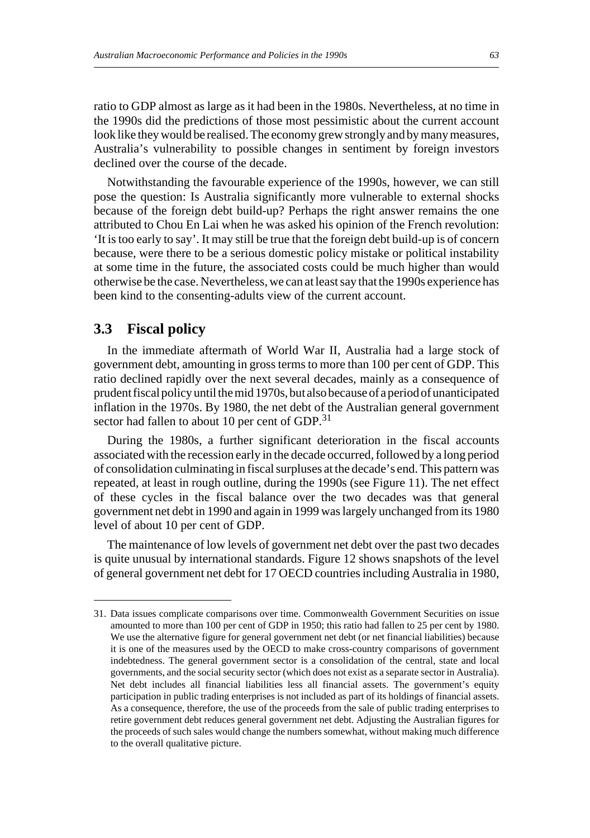ratio to GDP almost as large as it had been in the 1980s. Nevertheless, at no time in the 1990s did the predictions of those most pessimistic about the current account look like they would be realised. The economy grew strongly and by many measures, Australia's vulnerability to possible changes in sentiment by foreign investors declined over the course of the decade.

Notwithstanding the favourable experience of the 1990s, however, we can still pose the question: Is Australia significantly more vulnerable to external shocks because of the foreign debt build-up? Perhaps the right answer remains the one attributed to Chou En Lai when he was asked his opinion of the French revolution: 'It is too early to say'. It may still be true that the foreign debt build-up is of concern because, were there to be a serious domestic policy mistake or political instability at some time in the future, the associated costs could be much higher than would otherwise be the case. Nevertheless, we can at least say that the 1990s experience has been kind to the consenting-adults view of the current account.

# **3.3 Fiscal policy**

In the immediate aftermath of World War II, Australia had a large stock of government debt, amounting in gross terms to more than 100 per cent of GDP. This ratio declined rapidly over the next several decades, mainly as a consequence of prudent fiscal policy until the mid 1970s, but also because of a period of unanticipated inflation in the 1970s. By 1980, the net debt of the Australian general government sector had fallen to about 10 per cent of GDP. $^{31}$ 

During the 1980s, a further significant deterioration in the fiscal accounts associated with the recession early in the decade occurred, followed by a long period of consolidation culminating in fiscal surpluses at the decade's end. This pattern was repeated, at least in rough outline, during the 1990s (see Figure 11). The net effect of these cycles in the fiscal balance over the two decades was that general government net debt in 1990 and again in 1999 was largely unchanged from its 1980 level of about 10 per cent of GDP.

The maintenance of low levels of government net debt over the past two decades is quite unusual by international standards. Figure 12 shows snapshots of the level of general government net debt for 17 OECD countries including Australia in 1980,

<sup>31.</sup> Data issues complicate comparisons over time. Commonwealth Government Securities on issue amounted to more than 100 per cent of GDP in 1950; this ratio had fallen to 25 per cent by 1980. We use the alternative figure for general government net debt (or net financial liabilities) because it is one of the measures used by the OECD to make cross-country comparisons of government indebtedness. The general government sector is a consolidation of the central, state and local governments, and the social security sector (which does not exist as a separate sector in Australia). Net debt includes all financial liabilities less all financial assets. The government's equity participation in public trading enterprises is not included as part of its holdings of financial assets. As a consequence, therefore, the use of the proceeds from the sale of public trading enterprises to retire government debt reduces general government net debt. Adjusting the Australian figures for the proceeds of such sales would change the numbers somewhat, without making much difference to the overall qualitative picture.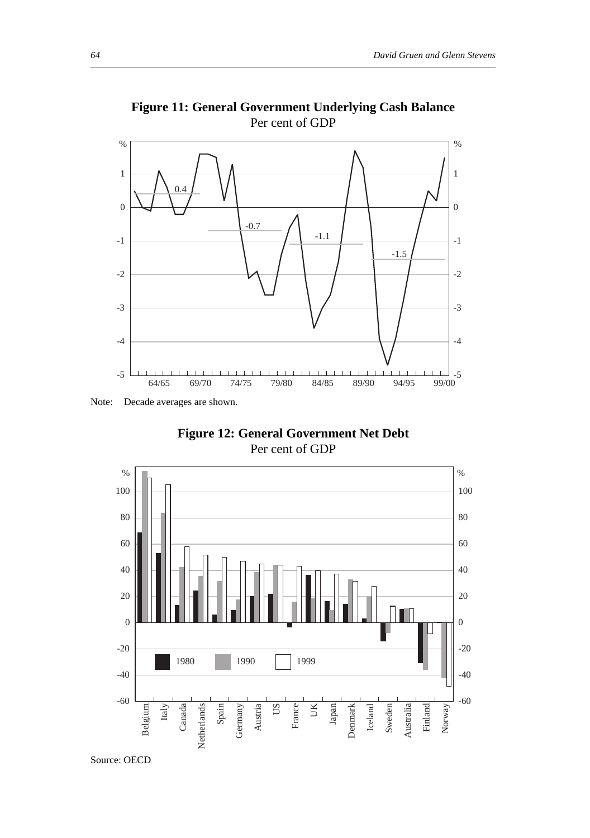

**Figure 11: General Government Underlying Cash Balance** Per cent of GDP

**Figure 12: General Government Net Debt** Per cent of GDP



Note: Decade averages are shown.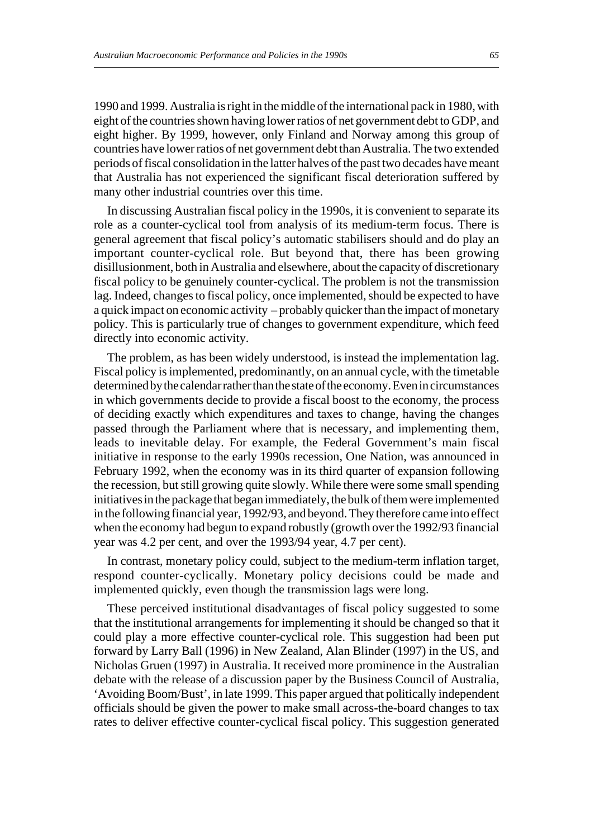1990 and 1999. Australia is right in the middle of the international pack in 1980, with eight of the countries shown having lower ratios of net government debt to GDP, and eight higher. By 1999, however, only Finland and Norway among this group of countries have lower ratios of net government debt than Australia. The two extended periods of fiscal consolidation in the latter halves of the past two decades have meant that Australia has not experienced the significant fiscal deterioration suffered by many other industrial countries over this time.

In discussing Australian fiscal policy in the 1990s, it is convenient to separate its role as a counter-cyclical tool from analysis of its medium-term focus. There is general agreement that fiscal policy's automatic stabilisers should and do play an important counter-cyclical role. But beyond that, there has been growing disillusionment, both in Australia and elsewhere, about the capacity of discretionary fiscal policy to be genuinely counter-cyclical. The problem is not the transmission lag. Indeed, changes to fiscal policy, once implemented, should be expected to have a quick impact on economic activity – probably quicker than the impact of monetary policy. This is particularly true of changes to government expenditure, which feed directly into economic activity.

The problem, as has been widely understood, is instead the implementation lag. Fiscal policy is implemented, predominantly, on an annual cycle, with the timetable determined by the calendar rather than the state of the economy. Even in circumstances in which governments decide to provide a fiscal boost to the economy, the process of deciding exactly which expenditures and taxes to change, having the changes passed through the Parliament where that is necessary, and implementing them, leads to inevitable delay. For example, the Federal Government's main fiscal initiative in response to the early 1990s recession, One Nation, was announced in February 1992, when the economy was in its third quarter of expansion following the recession, but still growing quite slowly. While there were some small spending initiatives in the package that began immediately, the bulk of them were implemented in the following financial year, 1992/93, and beyond. They therefore came into effect when the economy had begun to expand robustly (growth over the 1992/93 financial year was 4.2 per cent, and over the 1993/94 year, 4.7 per cent).

In contrast, monetary policy could, subject to the medium-term inflation target, respond counter-cyclically. Monetary policy decisions could be made and implemented quickly, even though the transmission lags were long.

These perceived institutional disadvantages of fiscal policy suggested to some that the institutional arrangements for implementing it should be changed so that it could play a more effective counter-cyclical role. This suggestion had been put forward by Larry Ball (1996) in New Zealand, Alan Blinder (1997) in the US, and Nicholas Gruen (1997) in Australia. It received more prominence in the Australian debate with the release of a discussion paper by the Business Council of Australia, 'Avoiding Boom/Bust', in late 1999. This paper argued that politically independent officials should be given the power to make small across-the-board changes to tax rates to deliver effective counter-cyclical fiscal policy. This suggestion generated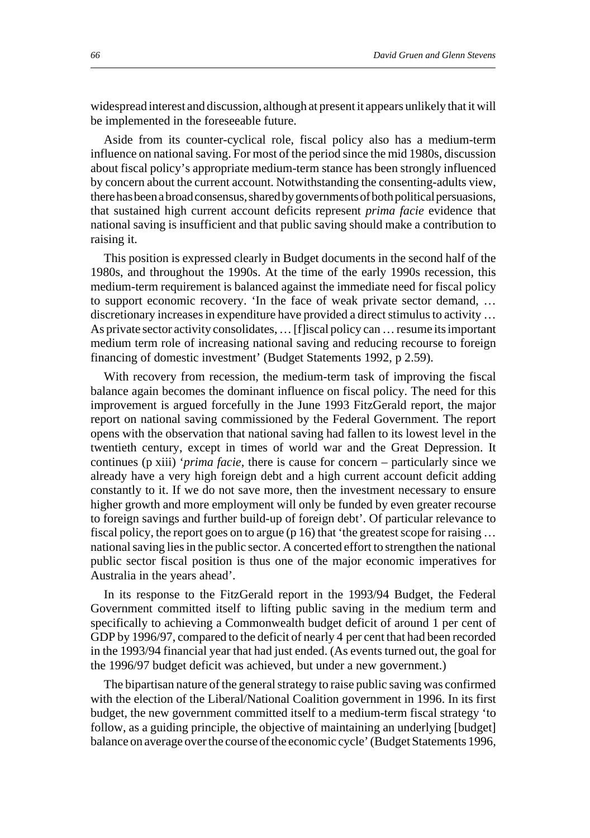widespread interest and discussion, although at present it appears unlikely that it will be implemented in the foreseeable future.

Aside from its counter-cyclical role, fiscal policy also has a medium-term influence on national saving. For most of the period since the mid 1980s, discussion about fiscal policy's appropriate medium-term stance has been strongly influenced by concern about the current account. Notwithstanding the consenting-adults view, there has been a broad consensus, shared by governments of both political persuasions, that sustained high current account deficits represent *prima facie* evidence that national saving is insufficient and that public saving should make a contribution to raising it.

This position is expressed clearly in Budget documents in the second half of the 1980s, and throughout the 1990s. At the time of the early 1990s recession, this medium-term requirement is balanced against the immediate need for fiscal policy to support economic recovery. 'In the face of weak private sector demand, … discretionary increases in expenditure have provided a direct stimulus to activity … As private sector activity consolidates, … [f]iscal policy can … resume its important medium term role of increasing national saving and reducing recourse to foreign financing of domestic investment' (Budget Statements 1992, p 2.59).

With recovery from recession, the medium-term task of improving the fiscal balance again becomes the dominant influence on fiscal policy. The need for this improvement is argued forcefully in the June 1993 FitzGerald report, the major report on national saving commissioned by the Federal Government. The report opens with the observation that national saving had fallen to its lowest level in the twentieth century, except in times of world war and the Great Depression. It continues (p xiii) '*prima facie*, there is cause for concern – particularly since we already have a very high foreign debt and a high current account deficit adding constantly to it. If we do not save more, then the investment necessary to ensure higher growth and more employment will only be funded by even greater recourse to foreign savings and further build-up of foreign debt'. Of particular relevance to fiscal policy, the report goes on to argue (p 16) that 'the greatest scope for raising … national saving lies in the public sector. A concerted effort to strengthen the national public sector fiscal position is thus one of the major economic imperatives for Australia in the years ahead'.

In its response to the FitzGerald report in the 1993/94 Budget, the Federal Government committed itself to lifting public saving in the medium term and specifically to achieving a Commonwealth budget deficit of around 1 per cent of GDP by 1996/97, compared to the deficit of nearly 4 per cent that had been recorded in the 1993/94 financial year that had just ended. (As events turned out, the goal for the 1996/97 budget deficit was achieved, but under a new government.)

The bipartisan nature of the general strategy to raise public saving was confirmed with the election of the Liberal/National Coalition government in 1996. In its first budget, the new government committed itself to a medium-term fiscal strategy 'to follow, as a guiding principle, the objective of maintaining an underlying [budget] balance on average over the course of the economic cycle' (Budget Statements 1996,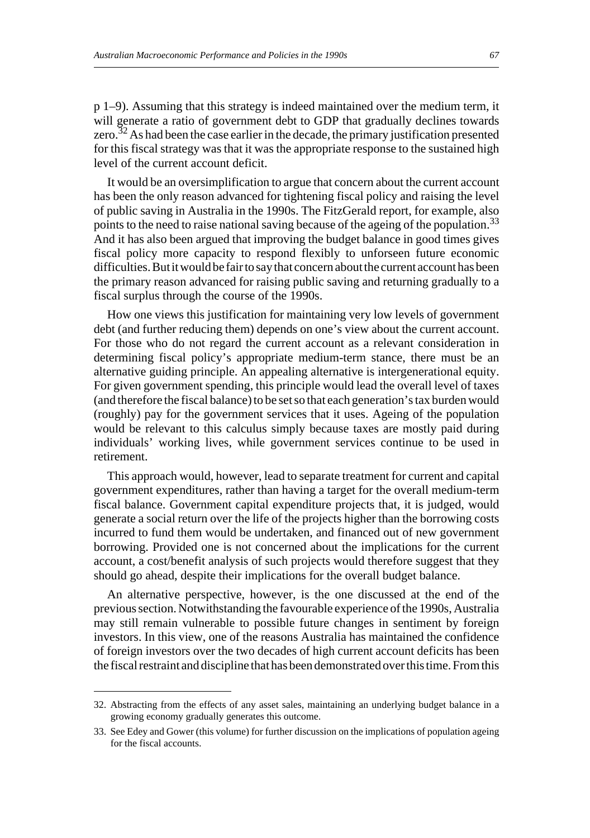p 1–9). Assuming that this strategy is indeed maintained over the medium term, it will generate a ratio of government debt to GDP that gradually declines towards zero.<sup>32</sup> As had been the case earlier in the decade, the primary justification presented for this fiscal strategy was that it was the appropriate response to the sustained high level of the current account deficit.

It would be an oversimplification to argue that concern about the current account has been the only reason advanced for tightening fiscal policy and raising the level of public saving in Australia in the 1990s. The FitzGerald report, for example, also points to the need to raise national saving because of the ageing of the population.<sup>33</sup> And it has also been argued that improving the budget balance in good times gives fiscal policy more capacity to respond flexibly to unforseen future economic difficulties. But it would be fair to say that concern about the current account has been the primary reason advanced for raising public saving and returning gradually to a fiscal surplus through the course of the 1990s.

How one views this justification for maintaining very low levels of government debt (and further reducing them) depends on one's view about the current account. For those who do not regard the current account as a relevant consideration in determining fiscal policy's appropriate medium-term stance, there must be an alternative guiding principle. An appealing alternative is intergenerational equity. For given government spending, this principle would lead the overall level of taxes (and therefore the fiscal balance) to be set so that each generation's tax burden would (roughly) pay for the government services that it uses. Ageing of the population would be relevant to this calculus simply because taxes are mostly paid during individuals' working lives, while government services continue to be used in retirement.

This approach would, however, lead to separate treatment for current and capital government expenditures, rather than having a target for the overall medium-term fiscal balance. Government capital expenditure projects that, it is judged, would generate a social return over the life of the projects higher than the borrowing costs incurred to fund them would be undertaken, and financed out of new government borrowing. Provided one is not concerned about the implications for the current account, a cost/benefit analysis of such projects would therefore suggest that they should go ahead, despite their implications for the overall budget balance.

An alternative perspective, however, is the one discussed at the end of the previous section. Notwithstanding the favourable experience of the 1990s, Australia may still remain vulnerable to possible future changes in sentiment by foreign investors. In this view, one of the reasons Australia has maintained the confidence of foreign investors over the two decades of high current account deficits has been the fiscal restraint and discipline that has been demonstrated over this time. From this

<sup>32.</sup> Abstracting from the effects of any asset sales, maintaining an underlying budget balance in a growing economy gradually generates this outcome.

<sup>33.</sup> See Edey and Gower (this volume) for further discussion on the implications of population ageing for the fiscal accounts.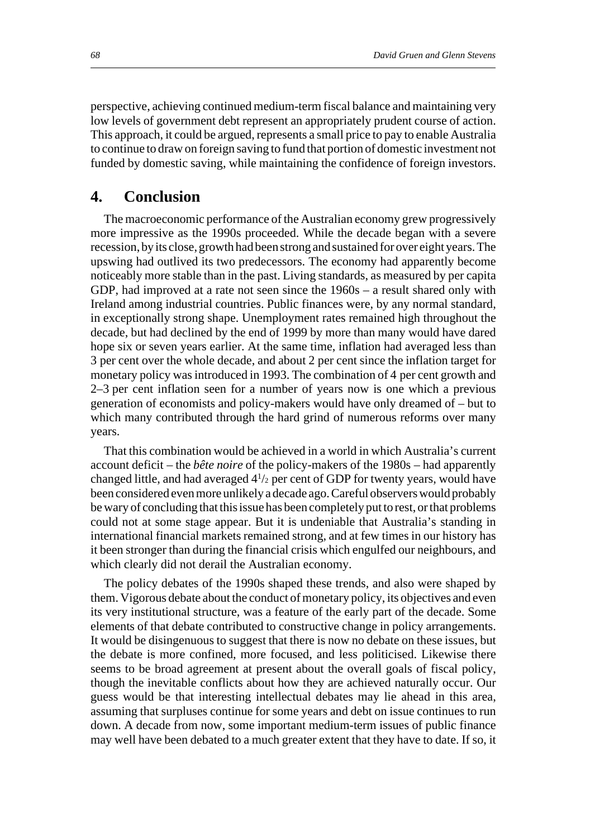perspective, achieving continued medium-term fiscal balance and maintaining very low levels of government debt represent an appropriately prudent course of action. This approach, it could be argued, represents a small price to pay to enable Australia to continue to draw on foreign saving to fund that portion of domestic investment not funded by domestic saving, while maintaining the confidence of foreign investors.

# **4. Conclusion**

The macroeconomic performance of the Australian economy grew progressively more impressive as the 1990s proceeded. While the decade began with a severe recession, by its close, growth had been strong and sustained for over eight years. The upswing had outlived its two predecessors. The economy had apparently become noticeably more stable than in the past. Living standards, as measured by per capita GDP, had improved at a rate not seen since the 1960s – a result shared only with Ireland among industrial countries. Public finances were, by any normal standard, in exceptionally strong shape. Unemployment rates remained high throughout the decade, but had declined by the end of 1999 by more than many would have dared hope six or seven years earlier. At the same time, inflation had averaged less than 3 per cent over the whole decade, and about 2 per cent since the inflation target for monetary policy was introduced in 1993. The combination of 4 per cent growth and 2–3 per cent inflation seen for a number of years now is one which a previous generation of economists and policy-makers would have only dreamed of – but to which many contributed through the hard grind of numerous reforms over many years.

That this combination would be achieved in a world in which Australia's current account deficit – the *bête noire* of the policy-makers of the 1980s – had apparently changed little, and had averaged  $4\frac{1}{2}$  per cent of GDP for twenty years, would have been considered even more unlikely a decade ago. Careful observers would probably be wary of concluding that this issue has been completely put to rest, or that problems could not at some stage appear. But it is undeniable that Australia's standing in international financial markets remained strong, and at few times in our history has it been stronger than during the financial crisis which engulfed our neighbours, and which clearly did not derail the Australian economy.

The policy debates of the 1990s shaped these trends, and also were shaped by them. Vigorous debate about the conduct of monetary policy, its objectives and even its very institutional structure, was a feature of the early part of the decade. Some elements of that debate contributed to constructive change in policy arrangements. It would be disingenuous to suggest that there is now no debate on these issues, but the debate is more confined, more focused, and less politicised. Likewise there seems to be broad agreement at present about the overall goals of fiscal policy, though the inevitable conflicts about how they are achieved naturally occur. Our guess would be that interesting intellectual debates may lie ahead in this area, assuming that surpluses continue for some years and debt on issue continues to run down. A decade from now, some important medium-term issues of public finance may well have been debated to a much greater extent that they have to date. If so, it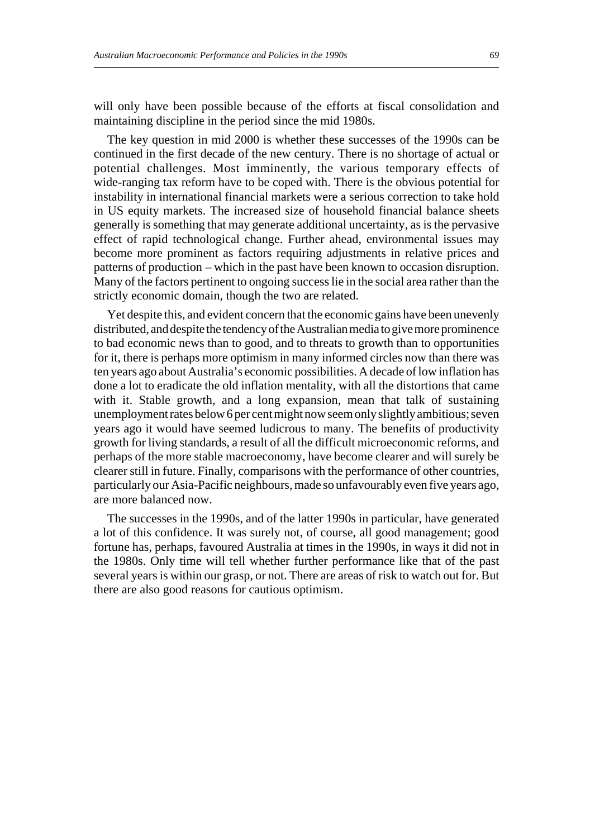will only have been possible because of the efforts at fiscal consolidation and maintaining discipline in the period since the mid 1980s.

The key question in mid 2000 is whether these successes of the 1990s can be continued in the first decade of the new century. There is no shortage of actual or potential challenges. Most imminently, the various temporary effects of wide-ranging tax reform have to be coped with. There is the obvious potential for instability in international financial markets were a serious correction to take hold in US equity markets. The increased size of household financial balance sheets generally is something that may generate additional uncertainty, as is the pervasive effect of rapid technological change. Further ahead, environmental issues may become more prominent as factors requiring adjustments in relative prices and patterns of production – which in the past have been known to occasion disruption. Many of the factors pertinent to ongoing success lie in the social area rather than the strictly economic domain, though the two are related.

Yet despite this, and evident concern that the economic gains have been unevenly distributed, and despite the tendency of the Australian media to give more prominence to bad economic news than to good, and to threats to growth than to opportunities for it, there is perhaps more optimism in many informed circles now than there was ten years ago about Australia's economic possibilities. A decade of low inflation has done a lot to eradicate the old inflation mentality, with all the distortions that came with it. Stable growth, and a long expansion, mean that talk of sustaining unemployment rates below 6 per cent might now seem only slightly ambitious; seven years ago it would have seemed ludicrous to many. The benefits of productivity growth for living standards, a result of all the difficult microeconomic reforms, and perhaps of the more stable macroeconomy, have become clearer and will surely be clearer still in future. Finally, comparisons with the performance of other countries, particularly our Asia-Pacific neighbours, made so unfavourably even five years ago, are more balanced now.

The successes in the 1990s, and of the latter 1990s in particular, have generated a lot of this confidence. It was surely not, of course, all good management; good fortune has, perhaps, favoured Australia at times in the 1990s, in ways it did not in the 1980s. Only time will tell whether further performance like that of the past several years is within our grasp, or not. There are areas of risk to watch out for. But there are also good reasons for cautious optimism.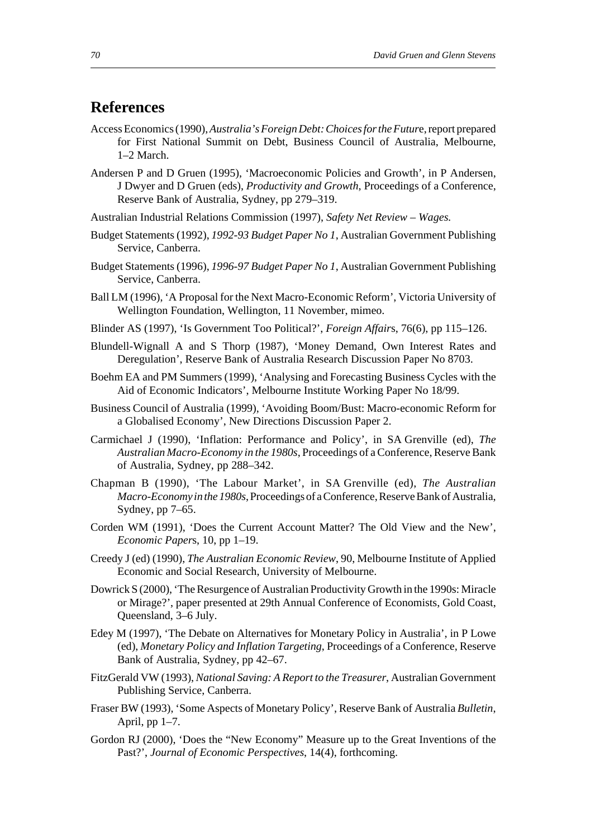# **References**

- Access Economics (1990), *Australia's Foreign Debt: Choices for the Futur*e, report prepared for First National Summit on Debt, Business Council of Australia, Melbourne, 1–2 March.
- Andersen P and D Gruen (1995), 'Macroeconomic Policies and Growth', in P Andersen, J Dwyer and D Gruen (eds), *Productivity and Growth*, Proceedings of a Conference, Reserve Bank of Australia, Sydney, pp 279–319.
- Australian Industrial Relations Commission (1997), *Safety Net Review* – *Wages.*
- Budget Statements (1992), *1992-93 Budget Paper No 1*, Australian Government Publishing Service, Canberra.
- Budget Statements (1996), *1996-97 Budget Paper No 1*, Australian Government Publishing Service, Canberra.
- Ball LM (1996), 'A Proposal for the Next Macro-Economic Reform', Victoria University of Wellington Foundation, Wellington, 11 November, mimeo.
- Blinder AS (1997), 'Is Government Too Political?', *Foreign Affair*s, 76(6), pp 115–126.
- Blundell-Wignall A and S Thorp (1987), 'Money Demand, Own Interest Rates and Deregulation', Reserve Bank of Australia Research Discussion Paper No 8703.
- Boehm EA and PM Summers (1999), 'Analysing and Forecasting Business Cycles with the Aid of Economic Indicators', Melbourne Institute Working Paper No 18/99.
- Business Council of Australia (1999), 'Avoiding Boom/Bust: Macro-economic Reform for a Globalised Economy', New Directions Discussion Paper 2.
- Carmichael J (1990), 'Inflation: Performance and Policy', in SA Grenville (ed), *The Australian Macro-Economy in the 1980s*, Proceedings of a Conference, Reserve Bank of Australia, Sydney, pp 288–342.
- Chapman B (1990), 'The Labour Market', in SA Grenville (ed), *The Australian Macro-Economy in the 1980s*, Proceedings of a Conference, Reserve Bank of Australia, Sydney, pp 7–65.
- Corden WM (1991), 'Does the Current Account Matter? The Old View and the New', *Economic Paper*s, 10, pp 1–19.
- Creedy J (ed) (1990), *The Australian Economic Review*, 90, Melbourne Institute of Applied Economic and Social Research, University of Melbourne.
- Dowrick S (2000), 'The Resurgence of Australian Productivity Growth in the 1990s: Miracle or Mirage?', paper presented at 29th Annual Conference of Economists, Gold Coast, Queensland, 3–6 July.
- Edey M (1997), 'The Debate on Alternatives for Monetary Policy in Australia', in P Lowe (ed), *Monetary Policy and Inflation Targeting*, Proceedings of a Conference, Reserve Bank of Australia, Sydney, pp 42–67.
- FitzGerald VW (1993), *National Saving: A Report to the Treasurer*, Australian Government Publishing Service, Canberra.
- Fraser BW (1993), 'Some Aspects of Monetary Policy', Reserve Bank of Australia *Bulletin*, April, pp 1–7.
- Gordon RJ (2000), 'Does the "New Economy" Measure up to the Great Inventions of the Past?', *Journal of Economic Perspectives*, 14(4), forthcoming.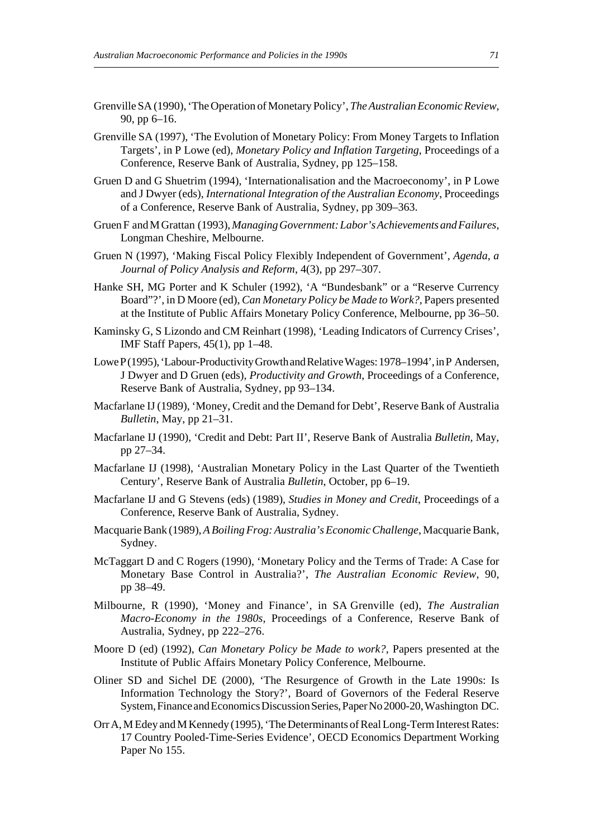- Grenville SA (1990), 'The Operation of Monetary Policy', *The Australian Economic Review*, 90, pp 6–16.
- Grenville SA (1997), 'The Evolution of Monetary Policy: From Money Targets to Inflation Targets', in P Lowe (ed), *Monetary Policy and Inflation Targeting*, Proceedings of a Conference, Reserve Bank of Australia, Sydney, pp 125–158.
- Gruen D and G Shuetrim (1994), 'Internationalisation and the Macroeconomy', in P Lowe and J Dwyer (eds), *International Integration of the Australian Economy*, Proceedings of a Conference, Reserve Bank of Australia, Sydney, pp 309–363.
- Gruen F and M Grattan (1993), *Managing Government: Labor's Achievements and Failures*, Longman Cheshire, Melbourne.
- Gruen N (1997), 'Making Fiscal Policy Flexibly Independent of Government', *Agenda, a Journal of Policy Analysis and Reform*, 4(3), pp 297–307.
- Hanke SH, MG Porter and K Schuler (1992), 'A "Bundesbank" or a "Reserve Currency Board"?', in D Moore (ed), *Can Monetary Policy be Made to Work?*, Papers presented at the Institute of Public Affairs Monetary Policy Conference, Melbourne, pp 36–50.
- Kaminsky G, S Lizondo and CM Reinhart (1998), 'Leading Indicators of Currency Crises', IMF Staff Papers, 45(1), pp 1–48.
- Lowe P(1995), 'Labour-Productivity Growth and Relative Wages: 1978–1994', in P Andersen, J Dwyer and D Gruen (eds), *Productivity and Growth*, Proceedings of a Conference, Reserve Bank of Australia, Sydney, pp 93–134.
- Macfarlane IJ (1989), 'Money, Credit and the Demand for Debt', Reserve Bank of Australia *Bulletin*, May, pp 21–31.
- Macfarlane IJ (1990), 'Credit and Debt: Part II', Reserve Bank of Australia *Bulletin*, May, pp 27–34.
- Macfarlane IJ (1998), 'Australian Monetary Policy in the Last Quarter of the Twentieth Century', Reserve Bank of Australia *Bulletin*, October, pp 6–19.
- Macfarlane IJ and G Stevens (eds) (1989), *Studies in Money and Credit*, Proceedings of a Conference, Reserve Bank of Australia, Sydney.
- Macquarie Bank (1989), *A Boiling Frog: Australia's Economic Challenge*, Macquarie Bank, Sydney.
- McTaggart D and C Rogers (1990), 'Monetary Policy and the Terms of Trade: A Case for Monetary Base Control in Australia?', *The Australian Economic Review*, 90, pp 38–49.
- Milbourne, R (1990), 'Money and Finance', in SA Grenville (ed), *The Australian Macro-Economy in the 1980s*, Proceedings of a Conference, Reserve Bank of Australia, Sydney, pp 222–276.
- Moore D (ed) (1992), *Can Monetary Policy be Made to work?*, Papers presented at the Institute of Public Affairs Monetary Policy Conference, Melbourne.
- Oliner SD and Sichel DE (2000), 'The Resurgence of Growth in the Late 1990s: Is Information Technology the Story?', Board of Governors of the Federal Reserve System, Finance and Economics Discussion Series, Paper No 2000-20, Washington DC.
- Orr A, M Edey and M Kennedy (1995), 'The Determinants of Real Long-Term Interest Rates: 17 Country Pooled-Time-Series Evidence', OECD Economics Department Working Paper No 155.